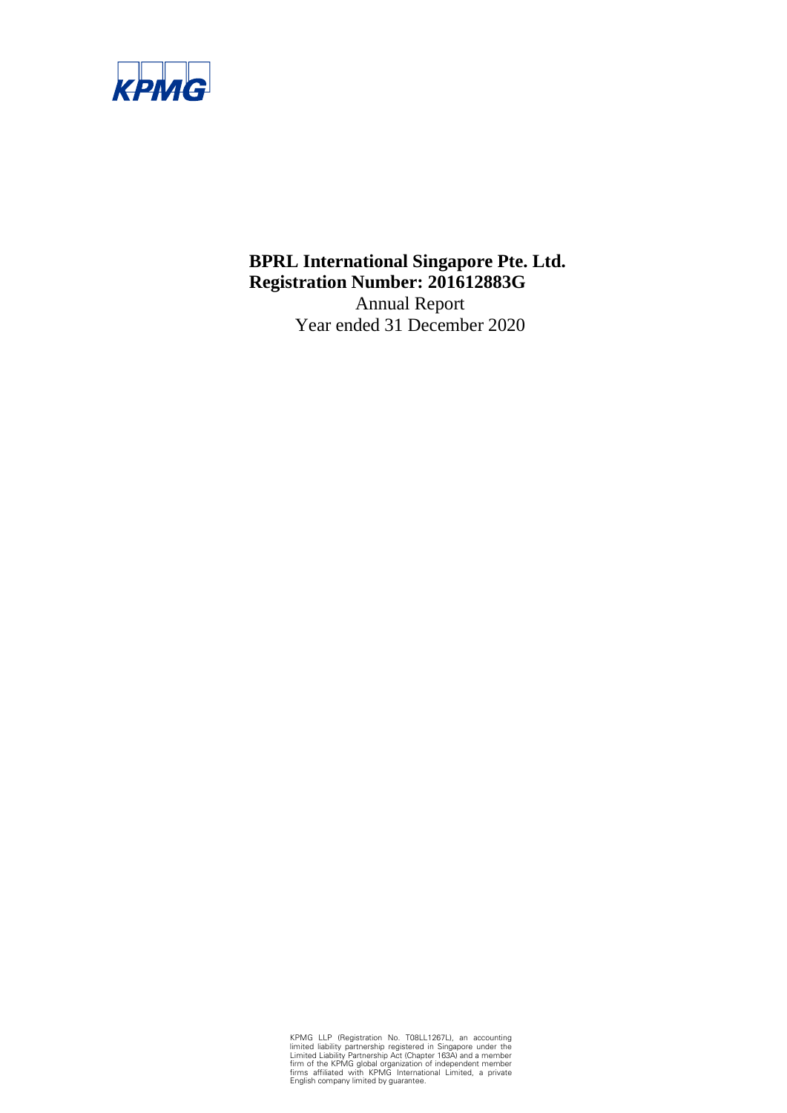

**BPRL International Singapore Pte. Ltd. Registration Number: 201612883G** Annual Report Year ended 31 December 2020

KPMG LLP (Registration No. T08LL1267L), an accounting limited liability partnership registered in Singapore under the Limited Liability Partnership Act (Chapter 163A) and a member firm of the KPMG global organization of in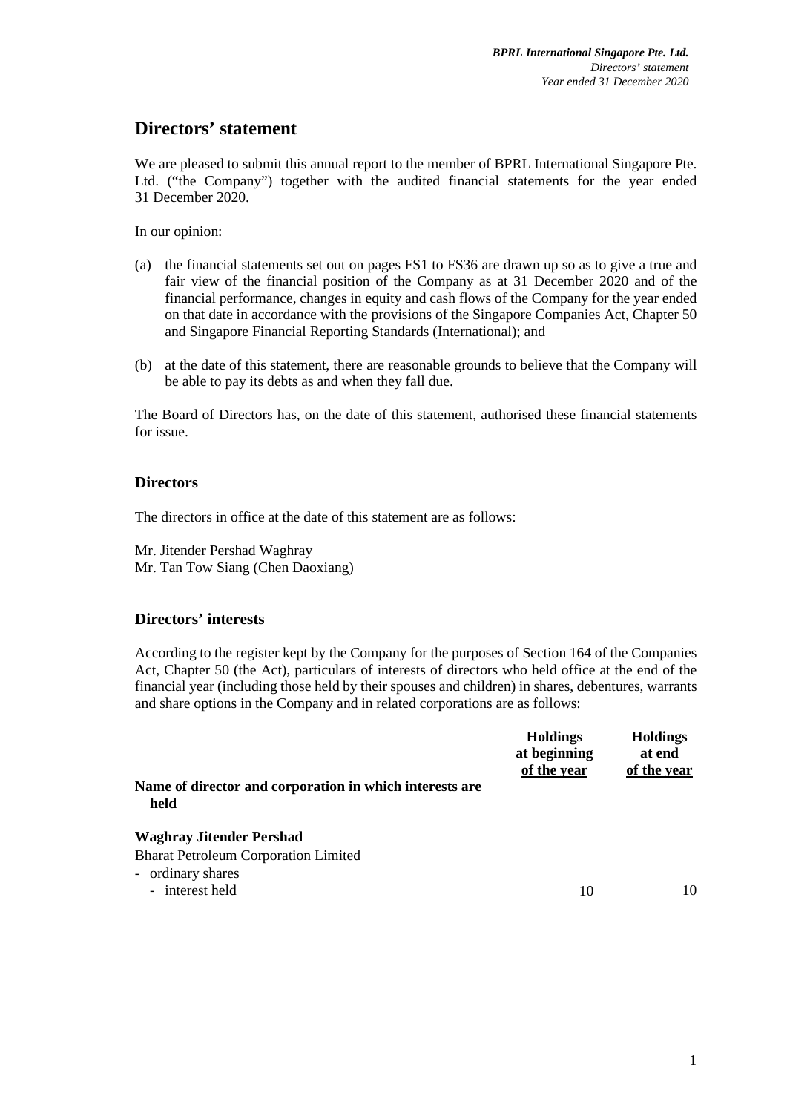# **Directors' statement**

We are pleased to submit this annual report to the member of BPRL International Singapore Pte. Ltd. ("the Company") together with the audited financial statements for the year ended 31 December 2020.

In our opinion:

- (a) the financial statements set out on pages FS1 to FS36 are drawn up so as to give a true and fair view of the financial position of the Company as at 31 December 2020 and of the financial performance, changes in equity and cash flows of the Company for the year ended on that date in accordance with the provisions of the Singapore Companies Act, Chapter 50 and Singapore Financial Reporting Standards (International); and
- (b) at the date of this statement, there are reasonable grounds to believe that the Company will be able to pay its debts as and when they fall due.

The Board of Directors has, on the date of this statement, authorised these financial statements for issue.

## **Directors**

The directors in office at the date of this statement are as follows:

Mr. Jitender Pershad Waghray Mr. Tan Tow Siang (Chen Daoxiang)

## **Directors' interests**

According to the register kept by the Company for the purposes of Section 164 of the Companies Act, Chapter 50 (the Act), particulars of interests of directors who held office at the end of the financial year (including those held by their spouses and children) in shares, debentures, warrants and share options in the Company and in related corporations are as follows:

| Name of director and corporation in which interests are<br>held | <b>Holdings</b><br>of the year |
|-----------------------------------------------------------------|--------------------------------|
| <b>Waghray Jitender Pershad</b>                                 |                                |
| <b>Bharat Petroleum Corporation Limited</b>                     |                                |
| - ordinary shares                                               |                                |
| - interest held<br>10                                           | 10                             |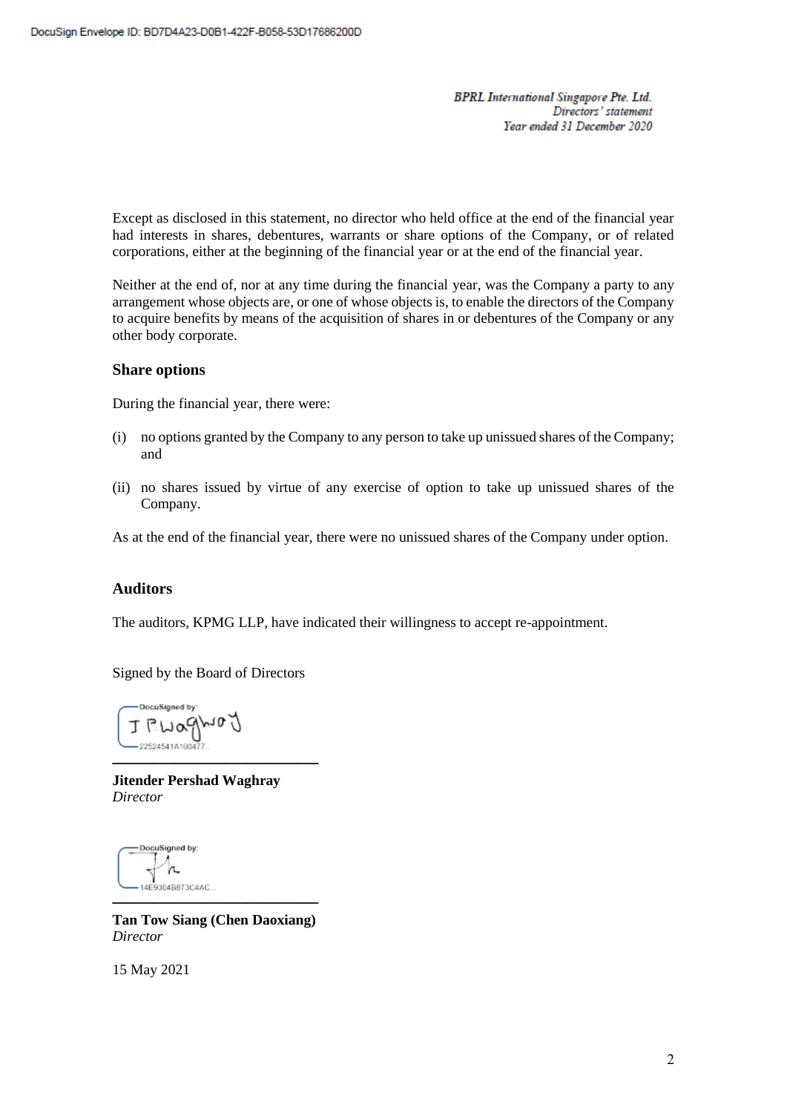**BPRL International Singapore Pte. Ltd.** Directors' statement Year ended 31 December 2020

Except as disclosed in this statement, no director who held office at the end of the financial year had interests in shares, debentures, warrants or share options of the Company, or of related corporations, either at the beginning of the financial year or at the end of the financial year.

Neither at the end of, nor at any time during the financial year, was the Company a party to any arrangement whose objects are, or one of whose objects is, to enable the directors of the Company to acquire benefits by means of the acquisition of shares in or debentures of the Company or any other body corporate.

#### **Share options**

During the financial year, there were:

- (i) no options granted by the Company to any person to take up unissued shares of the Company; and
- (ii) no shares issued by virtue of any exercise of option to take up unissued shares of the Company.

As at the end of the financial year, there were no unissued shares of the Company under option.

## **Auditors**

The auditors, KPMG LLP, have indicated their willingness to accept re-appointment.

Signed by the Board of Directors

 $\omega$ ag ፓ.ሮ 22524541A10047

**Jitender Pershad Waghray**  *Director* 

────────────────────

cuSigned by 14E9304B873C4AC. ────────────────────

**Tan Tow Siang (Chen Daoxiang)**  *Director* 

15 May 2021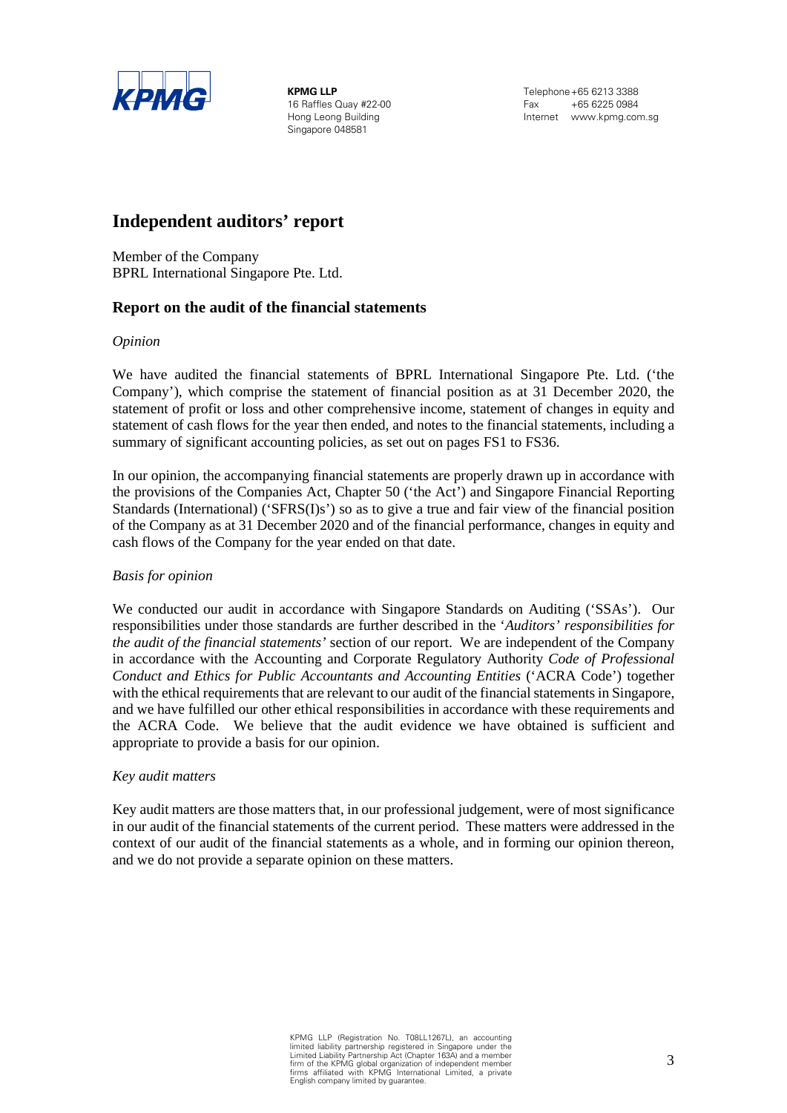

**KPMG LLP** 16 Raffles Quay #22-00 Hong Leong Building Singapore 048581

Telephone+65 6213 3388 Fax +65 6225 0984 Internet www.kpmg.com.sg

# **Independent auditors' report**

Member of the Company BPRL International Singapore Pte. Ltd.

# **Report on the audit of the financial statements**

#### *Opinion*

We have audited the financial statements of BPRL International Singapore Pte. Ltd. ('the Company'), which comprise the statement of financial position as at 31 December 2020, the statement of profit or loss and other comprehensive income, statement of changes in equity and statement of cash flows for the year then ended, and notes to the financial statements, including a summary of significant accounting policies, as set out on pages FS1 to FS36.

In our opinion, the accompanying financial statements are properly drawn up in accordance with the provisions of the Companies Act, Chapter 50 ('the Act') and Singapore Financial Reporting Standards (International) ('SFRS(I)s') so as to give a true and fair view of the financial position of the Company as at 31 December 2020 and of the financial performance, changes in equity and cash flows of the Company for the year ended on that date.

## *Basis for opinion*

We conducted our audit in accordance with Singapore Standards on Auditing ('SSAs'). Our responsibilities under those standards are further described in the '*Auditors' responsibilities for the audit of the financial statements'* section of our report. We are independent of the Company in accordance with the Accounting and Corporate Regulatory Authority *Code of Professional Conduct and Ethics for Public Accountants and Accounting Entities* ('ACRA Code') together with the ethical requirements that are relevant to our audit of the financial statements in Singapore, and we have fulfilled our other ethical responsibilities in accordance with these requirements and the ACRA Code. We believe that the audit evidence we have obtained is sufficient and appropriate to provide a basis for our opinion.

#### *Key audit matters*

Key audit matters are those matters that, in our professional judgement, were of most significance in our audit of the financial statements of the current period. These matters were addressed in the context of our audit of the financial statements as a whole, and in forming our opinion thereon, and we do not provide a separate opinion on these matters.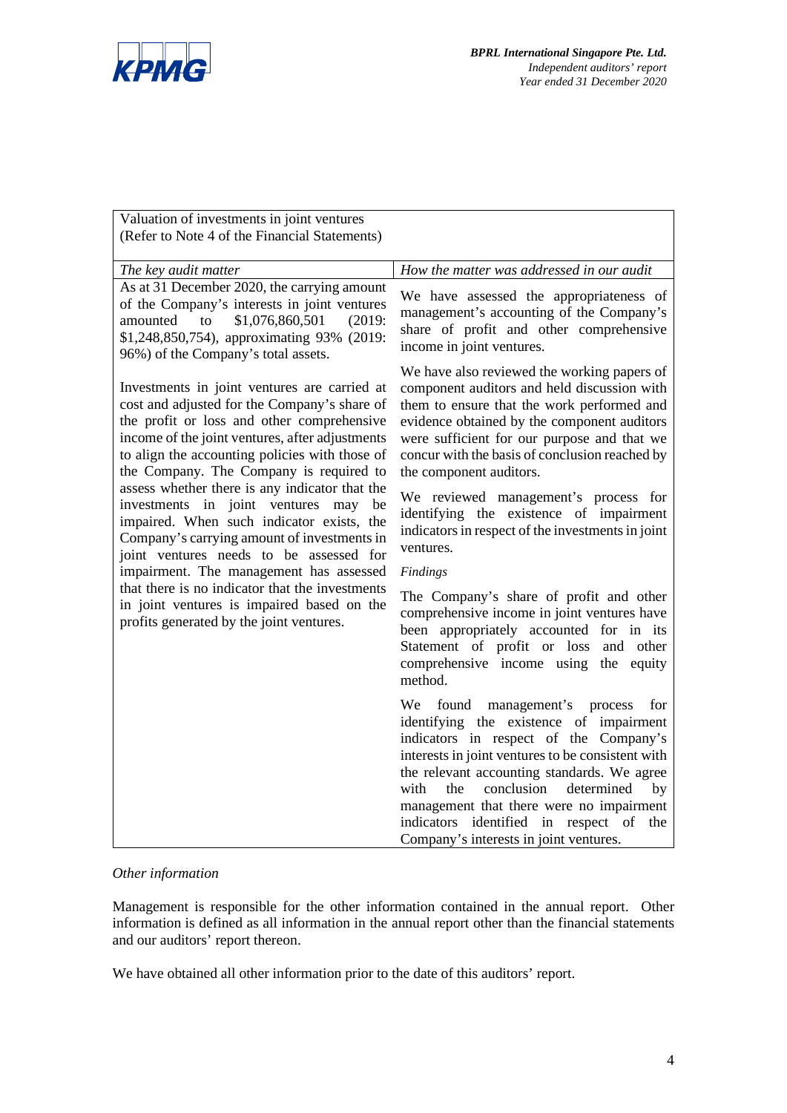

| Valuation of investments in joint ventures                                                                                                                                                                                                                                                                                                                                              |                                                                                                                                                                                                                                                                                                                                                                                                                          |
|-----------------------------------------------------------------------------------------------------------------------------------------------------------------------------------------------------------------------------------------------------------------------------------------------------------------------------------------------------------------------------------------|--------------------------------------------------------------------------------------------------------------------------------------------------------------------------------------------------------------------------------------------------------------------------------------------------------------------------------------------------------------------------------------------------------------------------|
| (Refer to Note 4 of the Financial Statements)                                                                                                                                                                                                                                                                                                                                           |                                                                                                                                                                                                                                                                                                                                                                                                                          |
| The key audit matter                                                                                                                                                                                                                                                                                                                                                                    | How the matter was addressed in our audit                                                                                                                                                                                                                                                                                                                                                                                |
| As at 31 December 2020, the carrying amount<br>of the Company's interests in joint ventures<br>\$1,076,860,501<br>amounted<br>to<br>(2019:<br>\$1,248,850,754), approximating 93% (2019:<br>96%) of the Company's total assets.                                                                                                                                                         | We have assessed the appropriateness of<br>management's accounting of the Company's<br>share of profit and other comprehensive<br>income in joint ventures.                                                                                                                                                                                                                                                              |
| Investments in joint ventures are carried at<br>cost and adjusted for the Company's share of<br>the profit or loss and other comprehensive<br>income of the joint ventures, after adjustments<br>to align the accounting policies with those of<br>the Company. The Company is required to<br>assess whether there is any indicator that the<br>investments in joint ventures may<br>be | We have also reviewed the working papers of<br>component auditors and held discussion with<br>them to ensure that the work performed and<br>evidence obtained by the component auditors<br>were sufficient for our purpose and that we<br>concur with the basis of conclusion reached by<br>the component auditors.<br>We reviewed management's process for<br>identifying the existence of impairment                   |
| impaired. When such indicator exists, the<br>Company's carrying amount of investments in<br>joint ventures needs to be assessed for                                                                                                                                                                                                                                                     | indicators in respect of the investments in joint<br>ventures.                                                                                                                                                                                                                                                                                                                                                           |
| impairment. The management has assessed                                                                                                                                                                                                                                                                                                                                                 | <b>Findings</b>                                                                                                                                                                                                                                                                                                                                                                                                          |
| that there is no indicator that the investments<br>in joint ventures is impaired based on the<br>profits generated by the joint ventures.                                                                                                                                                                                                                                               | The Company's share of profit and other<br>comprehensive income in joint ventures have<br>been appropriately accounted for in its<br>Statement of profit or loss<br>and other<br>comprehensive income using the equity<br>method.                                                                                                                                                                                        |
|                                                                                                                                                                                                                                                                                                                                                                                         | We<br>found<br>management's process<br>for<br>identifying the existence of impairment<br>indicators in respect of the Company's<br>interests in joint ventures to be consistent with<br>the relevant accounting standards. We agree<br>conclusion<br>with<br>the<br>determined<br>by<br>management that there were no impairment<br>indicators identified in respect of<br>the<br>Company's interests in joint ventures. |

## *Other information*

Management is responsible for the other information contained in the annual report. Other information is defined as all information in the annual report other than the financial statements and our auditors' report thereon.

We have obtained all other information prior to the date of this auditors' report.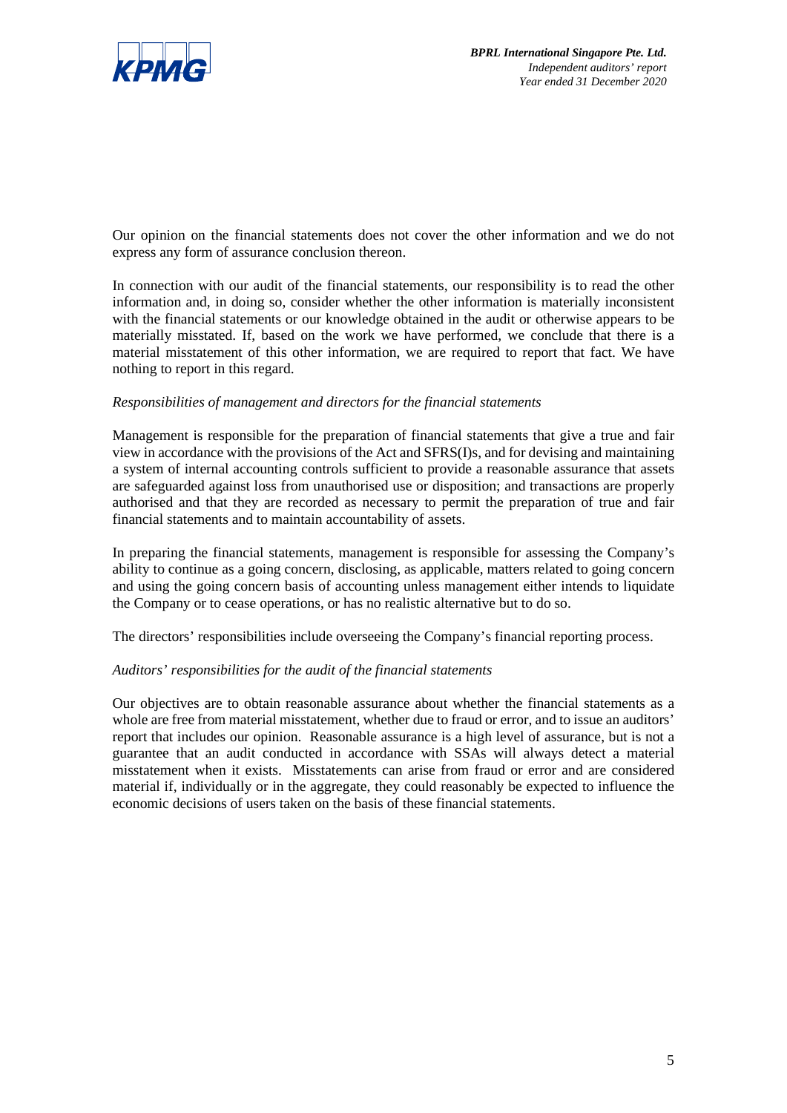

Our opinion on the financial statements does not cover the other information and we do not express any form of assurance conclusion thereon.

In connection with our audit of the financial statements, our responsibility is to read the other information and, in doing so, consider whether the other information is materially inconsistent with the financial statements or our knowledge obtained in the audit or otherwise appears to be materially misstated. If, based on the work we have performed, we conclude that there is a material misstatement of this other information, we are required to report that fact. We have nothing to report in this regard.

#### *Responsibilities of management and directors for the financial statements*

Management is responsible for the preparation of financial statements that give a true and fair view in accordance with the provisions of the Act and SFRS(I)s, and for devising and maintaining a system of internal accounting controls sufficient to provide a reasonable assurance that assets are safeguarded against loss from unauthorised use or disposition; and transactions are properly authorised and that they are recorded as necessary to permit the preparation of true and fair financial statements and to maintain accountability of assets.

In preparing the financial statements, management is responsible for assessing the Company's ability to continue as a going concern, disclosing, as applicable, matters related to going concern and using the going concern basis of accounting unless management either intends to liquidate the Company or to cease operations, or has no realistic alternative but to do so.

The directors' responsibilities include overseeing the Company's financial reporting process.

#### *Auditors' responsibilities for the audit of the financial statements*

Our objectives are to obtain reasonable assurance about whether the financial statements as a whole are free from material misstatement, whether due to fraud or error, and to issue an auditors' report that includes our opinion. Reasonable assurance is a high level of assurance, but is not a guarantee that an audit conducted in accordance with SSAs will always detect a material misstatement when it exists. Misstatements can arise from fraud or error and are considered material if, individually or in the aggregate, they could reasonably be expected to influence the economic decisions of users taken on the basis of these financial statements.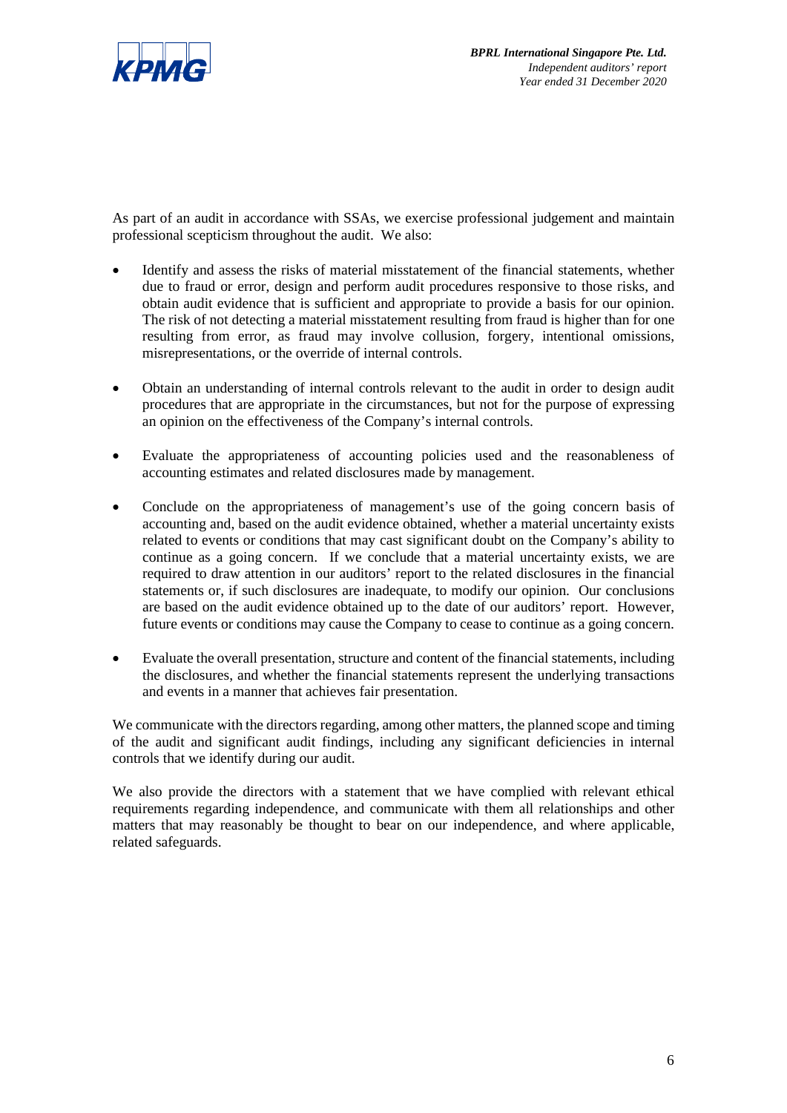

As part of an audit in accordance with SSAs, we exercise professional judgement and maintain professional scepticism throughout the audit. We also:

- Identify and assess the risks of material misstatement of the financial statements, whether due to fraud or error, design and perform audit procedures responsive to those risks, and obtain audit evidence that is sufficient and appropriate to provide a basis for our opinion. The risk of not detecting a material misstatement resulting from fraud is higher than for one resulting from error, as fraud may involve collusion, forgery, intentional omissions, misrepresentations, or the override of internal controls.
- Obtain an understanding of internal controls relevant to the audit in order to design audit procedures that are appropriate in the circumstances, but not for the purpose of expressing an opinion on the effectiveness of the Company's internal controls.
- Evaluate the appropriateness of accounting policies used and the reasonableness of accounting estimates and related disclosures made by management.
- Conclude on the appropriateness of management's use of the going concern basis of accounting and, based on the audit evidence obtained, whether a material uncertainty exists related to events or conditions that may cast significant doubt on the Company's ability to continue as a going concern. If we conclude that a material uncertainty exists, we are required to draw attention in our auditors' report to the related disclosures in the financial statements or, if such disclosures are inadequate, to modify our opinion. Our conclusions are based on the audit evidence obtained up to the date of our auditors' report. However, future events or conditions may cause the Company to cease to continue as a going concern.
- Evaluate the overall presentation, structure and content of the financial statements, including the disclosures, and whether the financial statements represent the underlying transactions and events in a manner that achieves fair presentation.

We communicate with the directors regarding, among other matters, the planned scope and timing of the audit and significant audit findings, including any significant deficiencies in internal controls that we identify during our audit.

We also provide the directors with a statement that we have complied with relevant ethical requirements regarding independence, and communicate with them all relationships and other matters that may reasonably be thought to bear on our independence, and where applicable, related safeguards.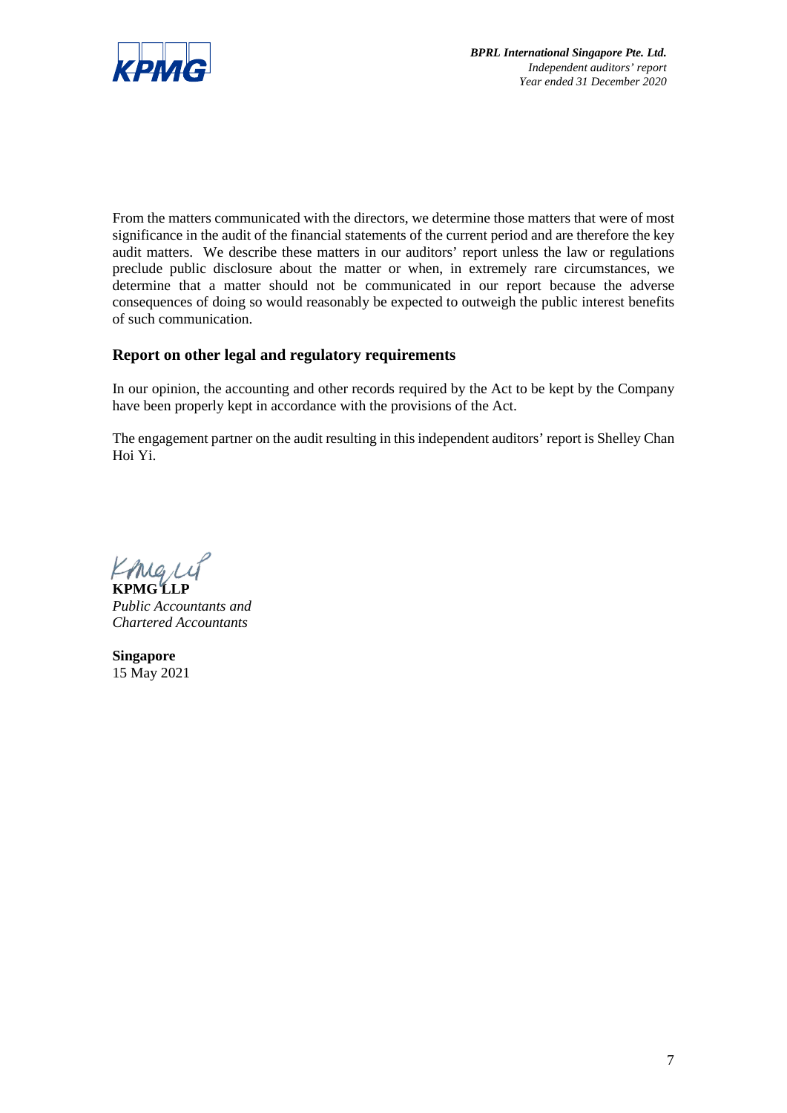

From the matters communicated with the directors, we determine those matters that were of most significance in the audit of the financial statements of the current period and are therefore the key audit matters. We describe these matters in our auditors' report unless the law or regulations preclude public disclosure about the matter or when, in extremely rare circumstances, we determine that a matter should not be communicated in our report because the adverse consequences of doing so would reasonably be expected to outweigh the public interest benefits of such communication.

# **Report on other legal and regulatory requirements**

In our opinion, the accounting and other records required by the Act to be kept by the Company have been properly kept in accordance with the provisions of the Act.

The engagement partner on the audit resulting in this independent auditors' report is Shelley Chan Hoi Yi.

**KPMG LLP** *Public Accountants and Chartered Accountants* 

**Singapore** 15 May 2021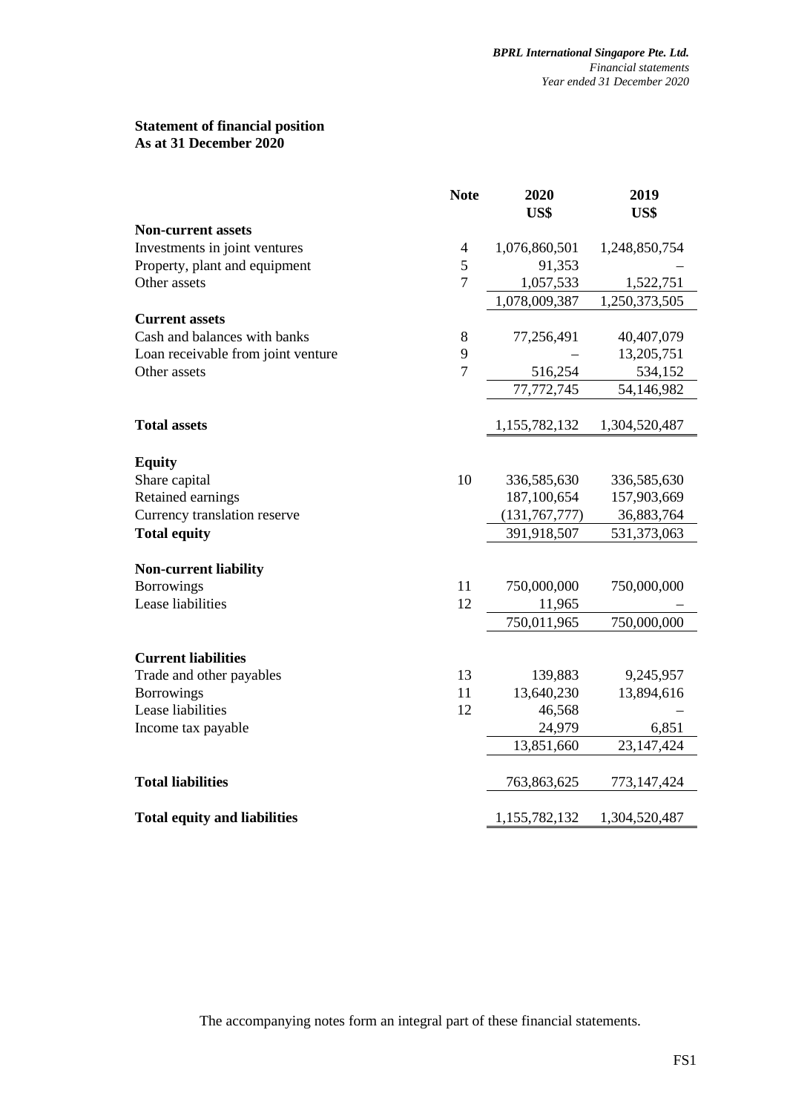# **Statement of financial position As at 31 December 2020**

|                                     | <b>Note</b>              | 2020<br>US\$    | 2019<br>US\$  |
|-------------------------------------|--------------------------|-----------------|---------------|
| <b>Non-current assets</b>           |                          |                 |               |
| Investments in joint ventures       | $\overline{\mathcal{A}}$ | 1,076,860,501   | 1,248,850,754 |
| Property, plant and equipment       | 5                        | 91,353          |               |
| Other assets                        | $\overline{7}$           | 1,057,533       | 1,522,751     |
|                                     |                          | 1,078,009,387   | 1,250,373,505 |
| <b>Current assets</b>               |                          |                 |               |
| Cash and balances with banks        | $8\,$                    | 77,256,491      | 40,407,079    |
| Loan receivable from joint venture  | 9                        |                 | 13,205,751    |
| Other assets                        | $\overline{7}$           | 516,254         | 534,152       |
|                                     |                          | 77,772,745      | 54,146,982    |
| <b>Total assets</b>                 |                          | 1,155,782,132   | 1,304,520,487 |
| <b>Equity</b>                       |                          |                 |               |
| Share capital                       | 10                       | 336,585,630     | 336,585,630   |
| Retained earnings                   |                          | 187,100,654     | 157,903,669   |
| Currency translation reserve        |                          | (131, 767, 777) | 36,883,764    |
| <b>Total equity</b>                 |                          | 391,918,507     | 531,373,063   |
| <b>Non-current liability</b>        |                          |                 |               |
| <b>Borrowings</b>                   | 11                       | 750,000,000     | 750,000,000   |
| Lease liabilities                   | 12                       | 11,965          |               |
|                                     |                          | 750,011,965     | 750,000,000   |
| <b>Current liabilities</b>          |                          |                 |               |
| Trade and other payables            | 13                       | 139,883         | 9,245,957     |
| <b>Borrowings</b>                   | 11                       | 13,640,230      | 13,894,616    |
| Lease liabilities                   | 12                       | 46,568          |               |
| Income tax payable                  |                          | 24,979          | 6,851         |
|                                     |                          | 13,851,660      | 23, 147, 424  |
| <b>Total liabilities</b>            |                          | 763,863,625     | 773,147,424   |
| <b>Total equity and liabilities</b> |                          | 1,155,782,132   | 1,304,520,487 |

The accompanying notes form an integral part of these financial statements. The accompanying notes form an integral part of these financial statements.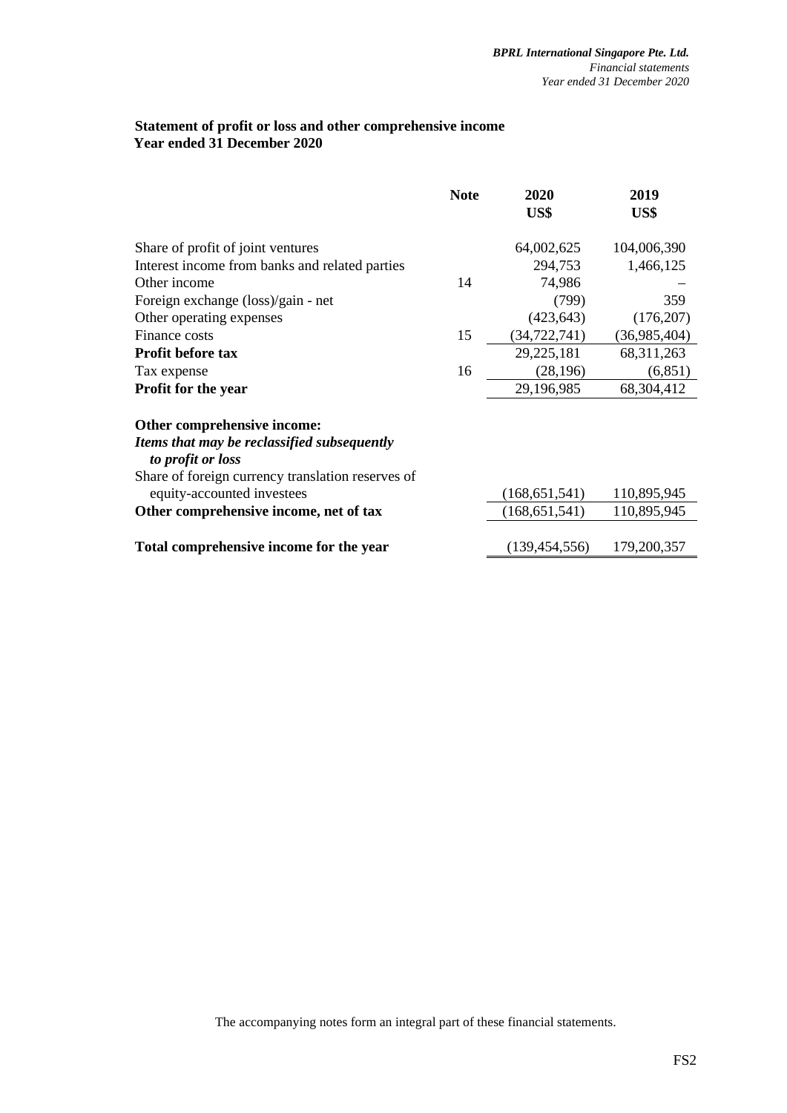## **Statement of profit or loss and other comprehensive income Year ended 31 December 2020**

|                                                                                 | <b>Note</b> | 2020            | 2019         |
|---------------------------------------------------------------------------------|-------------|-----------------|--------------|
|                                                                                 |             | US\$            | US\$         |
| Share of profit of joint ventures                                               |             | 64,002,625      | 104,006,390  |
| Interest income from banks and related parties                                  |             | 294,753         | 1,466,125    |
| Other income                                                                    | 14          | 74,986          |              |
| Foreign exchange (loss)/gain - net                                              |             | (799)           | 359          |
| Other operating expenses                                                        |             | (423, 643)      | (176, 207)   |
| Finance costs                                                                   | 15          | (34, 722, 741)  | (36,985,404) |
| <b>Profit before tax</b>                                                        |             | 29,225,181      | 68, 311, 263 |
| Tax expense                                                                     | 16          | (28, 196)       | (6, 851)     |
| <b>Profit for the year</b>                                                      |             | 29,196,985      | 68,304,412   |
| Other comprehensive income:                                                     |             |                 |              |
| Items that may be reclassified subsequently<br>to profit or loss                |             |                 |              |
| Share of foreign currency translation reserves of<br>equity-accounted investees |             | (168, 651, 541) | 110,895,945  |
| Other comprehensive income, net of tax                                          |             | (168, 651, 541) | 110,895,945  |
| Total comprehensive income for the year                                         |             | (139, 454, 556) | 179,200,357  |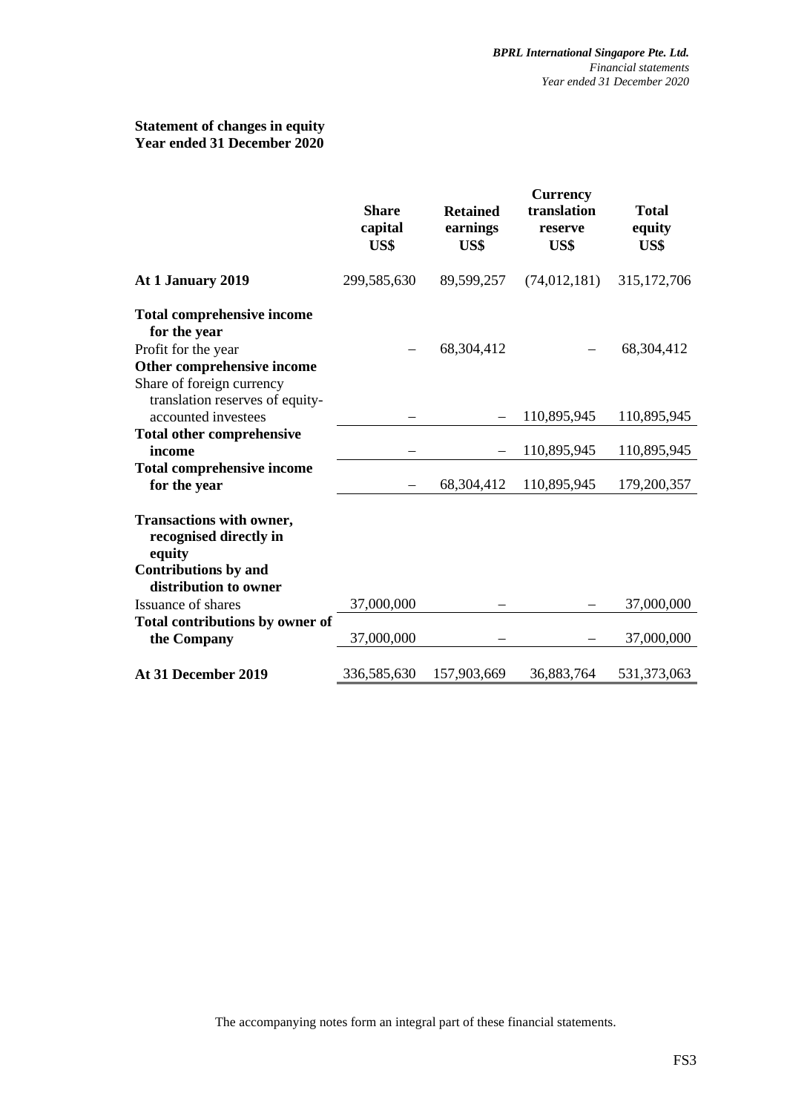## **Statement of changes in equity Year ended 31 December 2020**

|                                                                                            | <b>Share</b><br>capital<br>US\$ | <b>Retained</b><br>earnings<br>US\$ | <b>Currency</b><br>translation<br>reserve<br>US\$ | <b>Total</b><br>equity<br>US\$ |
|--------------------------------------------------------------------------------------------|---------------------------------|-------------------------------------|---------------------------------------------------|--------------------------------|
| At 1 January 2019                                                                          | 299,585,630                     | 89,599,257                          | (74, 012, 181)                                    | 315, 172, 706                  |
| <b>Total comprehensive income</b><br>for the year<br>Profit for the year                   |                                 | 68,304,412                          |                                                   | 68,304,412                     |
| Other comprehensive income<br>Share of foreign currency<br>translation reserves of equity- |                                 |                                     |                                                   |                                |
| accounted investees                                                                        |                                 |                                     | 110,895,945                                       | 110,895,945                    |
| <b>Total other comprehensive</b><br>income                                                 |                                 |                                     | 110,895,945                                       | 110,895,945                    |
| <b>Total comprehensive income</b><br>for the year                                          |                                 | 68,304,412                          | 110,895,945                                       | 179,200,357                    |
| Transactions with owner,<br>recognised directly in<br>equity                               |                                 |                                     |                                                   |                                |
| Contributions by and<br>distribution to owner                                              |                                 |                                     |                                                   |                                |
| Issuance of shares                                                                         | 37,000,000                      |                                     |                                                   | 37,000,000                     |
| Total contributions by owner of<br>the Company                                             | 37,000,000                      |                                     |                                                   | 37,000,000                     |
| At 31 December 2019                                                                        | 336,585,630                     | 157,903,669                         | 36,883,764                                        | 531,373,063                    |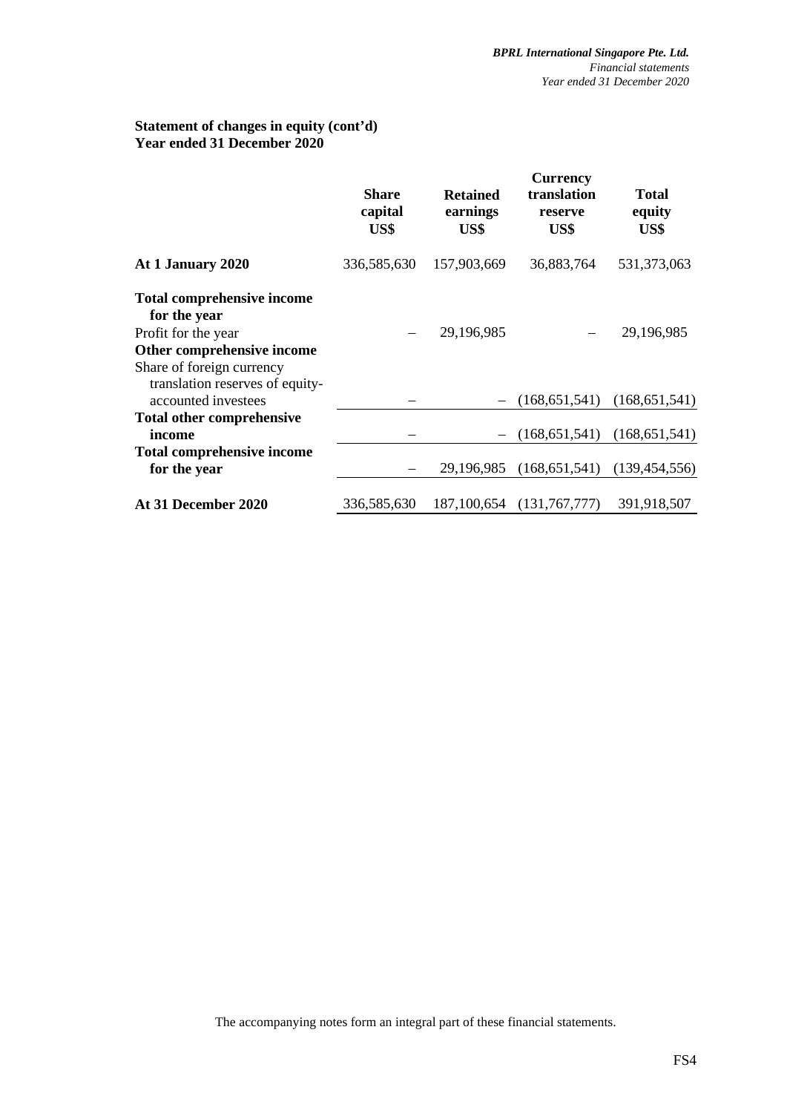# **Statement of changes in equity (cont'd) Year ended 31 December 2020**

|                                                                                            | <b>Share</b><br>capital<br>US\$ | <b>Retained</b><br>earnings<br>US\$ | <b>Currency</b><br>translation<br>reserve<br>US\$ | <b>Total</b><br>equity<br>US\$     |
|--------------------------------------------------------------------------------------------|---------------------------------|-------------------------------------|---------------------------------------------------|------------------------------------|
| At 1 January 2020                                                                          | 336,585,630                     | 157,903,669                         | 36,883,764                                        | 531,373,063                        |
| <b>Total comprehensive income</b><br>for the year<br>Profit for the year                   |                                 | 29,196,985                          |                                                   | 29,196,985                         |
| Other comprehensive income<br>Share of foreign currency<br>translation reserves of equity- |                                 |                                     |                                                   |                                    |
| accounted investees<br><b>Total other comprehensive</b><br>income                          |                                 |                                     | (168, 651, 541)<br>(168, 651, 541)                | (168, 651, 541)<br>(168, 651, 541) |
| <b>Total comprehensive income</b><br>for the year                                          |                                 | 29,196,985                          | (168, 651, 541)                                   | (139, 454, 556)                    |
| At 31 December 2020                                                                        | 336,585,630                     | 187,100,654                         | (131,767,777)                                     | 391,918,507                        |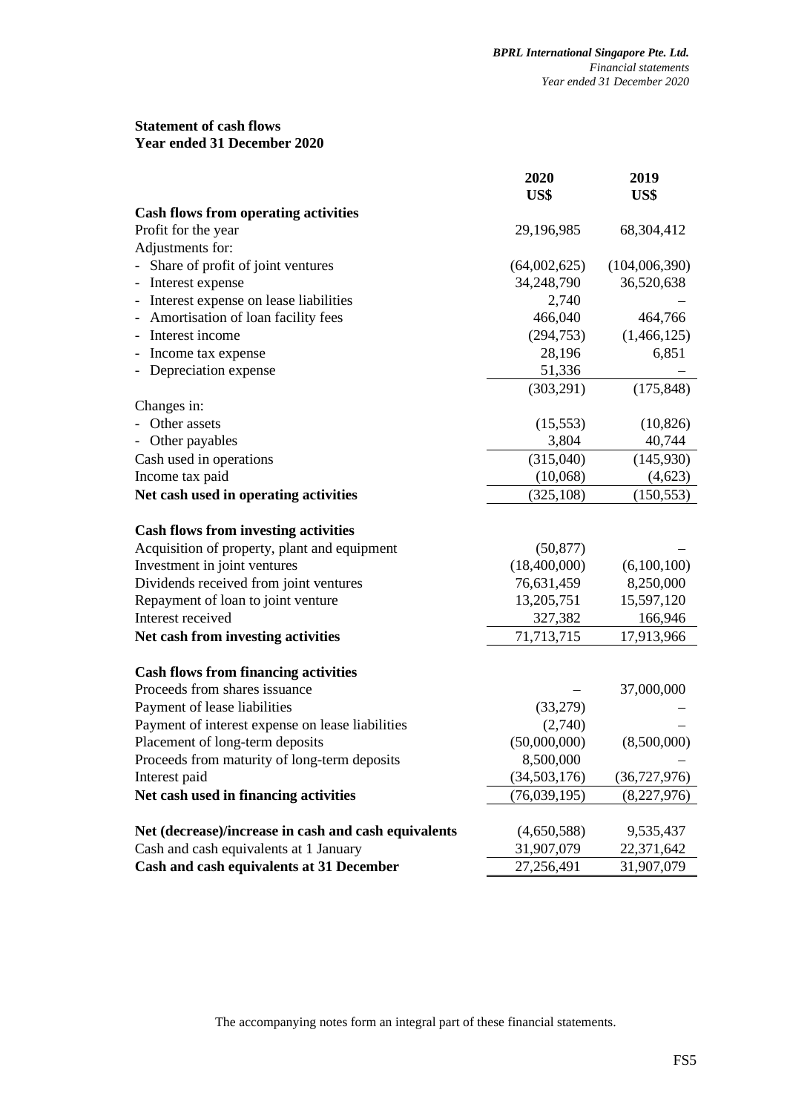#### **Statement of cash flows Year ended 31 December 2020**

|                                                      | 2020         | 2019           |
|------------------------------------------------------|--------------|----------------|
|                                                      | US\$         | US\$           |
| <b>Cash flows from operating activities</b>          |              |                |
| Profit for the year                                  | 29,196,985   | 68, 304, 412   |
| Adjustments for:                                     |              |                |
| Share of profit of joint ventures                    | (64,002,625) | (104,006,390)  |
| Interest expense<br>$\overline{\phantom{0}}$         | 34,248,790   | 36,520,638     |
| Interest expense on lease liabilities                | 2,740        |                |
| Amortisation of loan facility fees                   | 466,040      | 464,766        |
| Interest income                                      | (294, 753)   | (1,466,125)    |
| Income tax expense                                   | 28,196       | 6,851          |
| Depreciation expense                                 | 51,336       |                |
|                                                      | (303, 291)   | (175, 848)     |
| Changes in:                                          |              |                |
| Other assets                                         | (15, 553)    | (10, 826)      |
| Other payables                                       | 3,804        | 40,744         |
| Cash used in operations                              | (315,040)    | (145,930)      |
| Income tax paid                                      | (10,068)     | (4,623)        |
| Net cash used in operating activities                | (325, 108)   | (150, 553)     |
|                                                      |              |                |
| <b>Cash flows from investing activities</b>          |              |                |
| Acquisition of property, plant and equipment         | (50, 877)    |                |
| Investment in joint ventures                         | (18,400,000) | (6,100,100)    |
| Dividends received from joint ventures               | 76,631,459   | 8,250,000      |
| Repayment of loan to joint venture                   | 13,205,751   | 15,597,120     |
| Interest received                                    | 327,382      | 166,946        |
| Net cash from investing activities                   | 71,713,715   | 17,913,966     |
|                                                      |              |                |
| <b>Cash flows from financing activities</b>          |              |                |
| Proceeds from shares issuance                        |              | 37,000,000     |
| Payment of lease liabilities                         | (33,279)     |                |
| Payment of interest expense on lease liabilities     | (2,740)      |                |
| Placement of long-term deposits                      | (50,000,000) | (8,500,000)    |
| Proceeds from maturity of long-term deposits         | 8,500,000    |                |
| Interest paid                                        | (34,503,176) | (36, 727, 976) |
| Net cash used in financing activities                | (76,039,195) | (8,227,976)    |
|                                                      |              |                |
| Net (decrease)/increase in cash and cash equivalents | (4,650,588)  | 9,535,437      |
| Cash and cash equivalents at 1 January               | 31,907,079   | 22,371,642     |
| Cash and cash equivalents at 31 December             | 27,256,491   | 31,907,079     |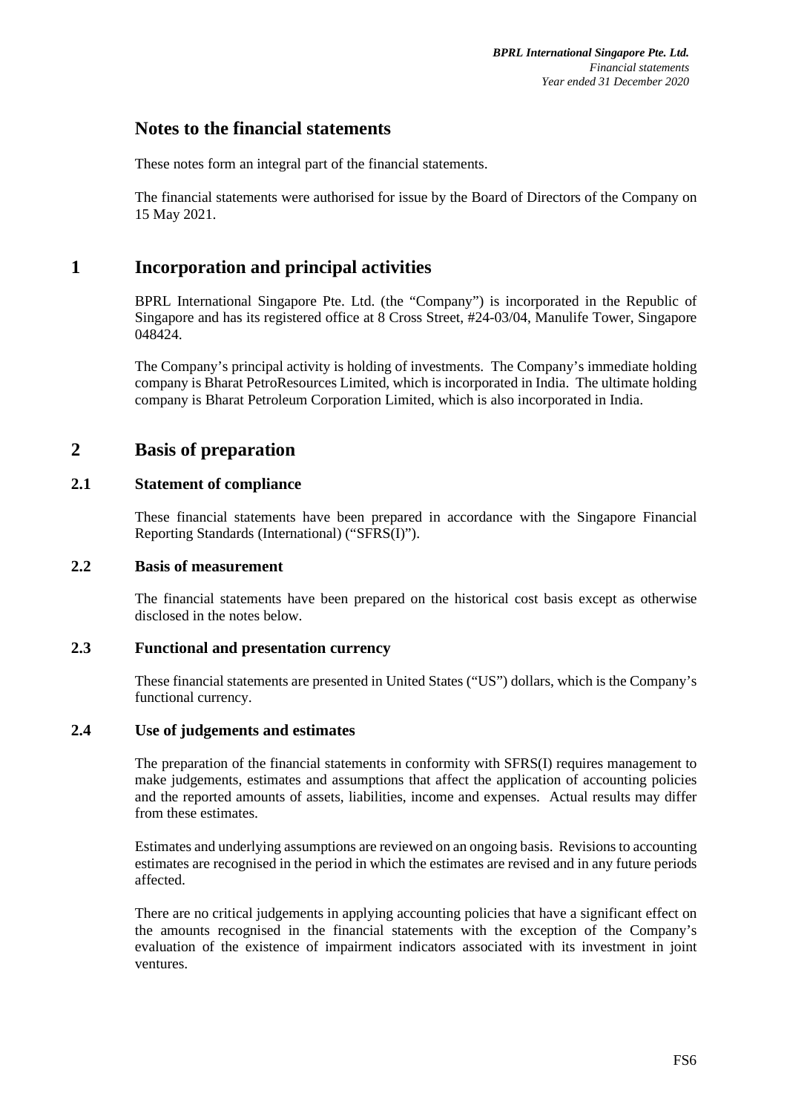# **Notes to the financial statements**

These notes form an integral part of the financial statements.

The financial statements were authorised for issue by the Board of Directors of the Company on 15 May 2021.

# **1 Incorporation and principal activities**

BPRL International Singapore Pte. Ltd. (the "Company") is incorporated in the Republic of Singapore and has its registered office at 8 Cross Street, #24-03/04, Manulife Tower, Singapore 048424.

The Company's principal activity is holding of investments. The Company's immediate holding company is Bharat PetroResources Limited, which is incorporated in India. The ultimate holding company is Bharat Petroleum Corporation Limited, which is also incorporated in India.

# **2 Basis of preparation**

## **2.1 Statement of compliance**

These financial statements have been prepared in accordance with the Singapore Financial Reporting Standards (International) ("SFRS(I)").

## **2.2 Basis of measurement**

The financial statements have been prepared on the historical cost basis except as otherwise disclosed in the notes below.

## **2.3 Functional and presentation currency**

These financial statements are presented in United States ("US") dollars, which is the Company's functional currency.

## **2.4 Use of judgements and estimates**

The preparation of the financial statements in conformity with SFRS(I) requires management to make judgements, estimates and assumptions that affect the application of accounting policies and the reported amounts of assets, liabilities, income and expenses. Actual results may differ from these estimates.

Estimates and underlying assumptions are reviewed on an ongoing basis. Revisions to accounting estimates are recognised in the period in which the estimates are revised and in any future periods affected.

There are no critical judgements in applying accounting policies that have a significant effect on the amounts recognised in the financial statements with the exception of the Company's evaluation of the existence of impairment indicators associated with its investment in joint ventures.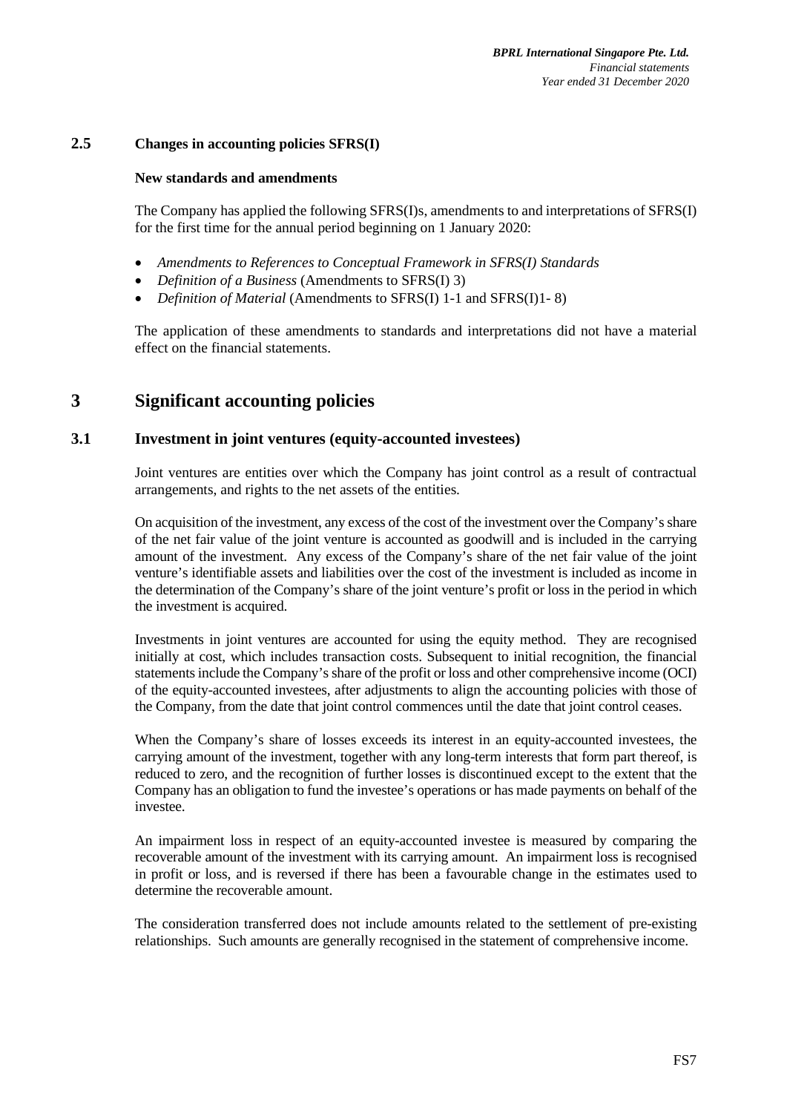## **2.5 Changes in accounting policies SFRS(I)**

#### **New standards and amendments**

The Company has applied the following SFRS(I)s, amendments to and interpretations of SFRS(I) for the first time for the annual period beginning on 1 January 2020:

- *Amendments to References to Conceptual Framework in SFRS(I) Standards*
- *Definition of a Business* (Amendments to SFRS(I) 3)
- *Definition of Material* (Amendments to SFRS(I) 1-1 and SFRS(I)1- 8)

The application of these amendments to standards and interpretations did not have a material effect on the financial statements.

# **3 Significant accounting policies**

#### **3.1 Investment in joint ventures (equity-accounted investees)**

Joint ventures are entities over which the Company has joint control as a result of contractual arrangements, and rights to the net assets of the entities.

On acquisition of the investment, any excess of the cost of the investment over the Company's share of the net fair value of the joint venture is accounted as goodwill and is included in the carrying amount of the investment. Any excess of the Company's share of the net fair value of the joint venture's identifiable assets and liabilities over the cost of the investment is included as income in the determination of the Company's share of the joint venture's profit or loss in the period in which the investment is acquired.

Investments in joint ventures are accounted for using the equity method. They are recognised initially at cost, which includes transaction costs. Subsequent to initial recognition, the financial statements include the Company's share of the profit or loss and other comprehensive income (OCI) of the equity-accounted investees, after adjustments to align the accounting policies with those of the Company, from the date that joint control commences until the date that joint control ceases.

When the Company's share of losses exceeds its interest in an equity-accounted investees, the carrying amount of the investment, together with any long-term interests that form part thereof, is reduced to zero, and the recognition of further losses is discontinued except to the extent that the Company has an obligation to fund the investee's operations or has made payments on behalf of the investee.

An impairment loss in respect of an equity-accounted investee is measured by comparing the recoverable amount of the investment with its carrying amount. An impairment loss is recognised in profit or loss, and is reversed if there has been a favourable change in the estimates used to determine the recoverable amount.

The consideration transferred does not include amounts related to the settlement of pre-existing relationships. Such amounts are generally recognised in the statement of comprehensive income.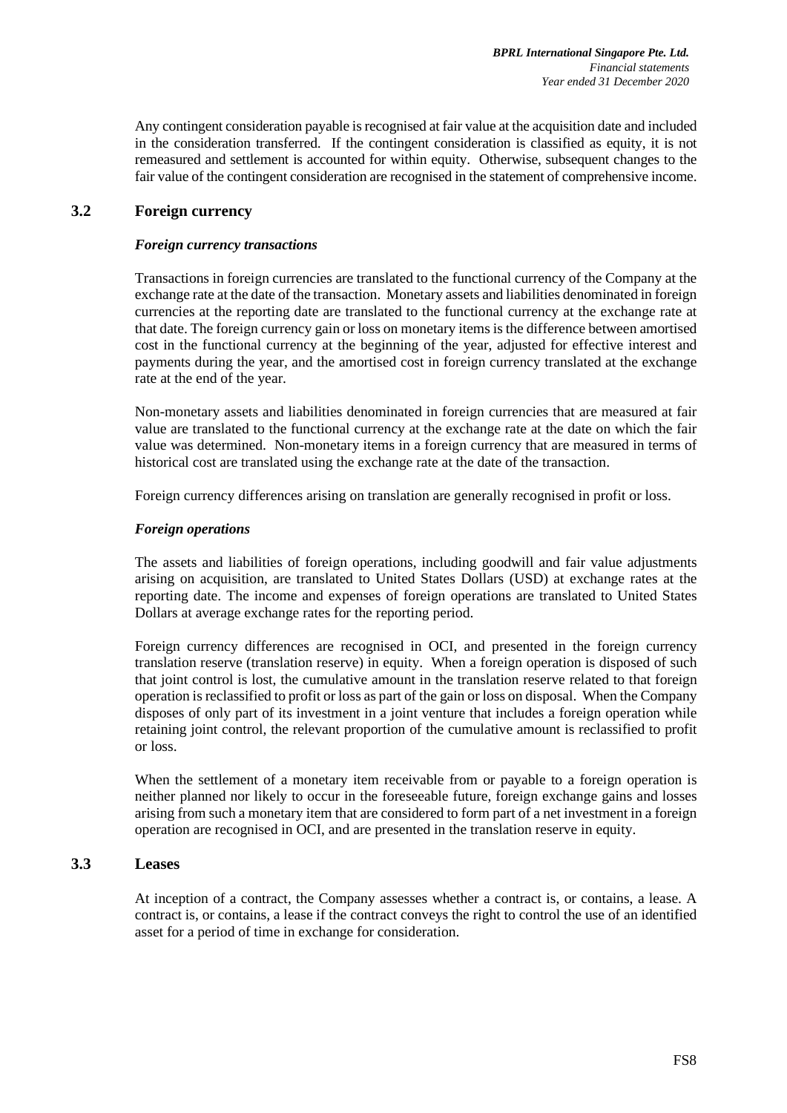Any contingent consideration payable is recognised at fair value at the acquisition date and included in the consideration transferred. If the contingent consideration is classified as equity, it is not remeasured and settlement is accounted for within equity. Otherwise, subsequent changes to the fair value of the contingent consideration are recognised in the statement of comprehensive income.

### **3.2 Foreign currency**

#### *Foreign currency transactions*

Transactions in foreign currencies are translated to the functional currency of the Company at the exchange rate at the date of the transaction. Monetary assets and liabilities denominated in foreign currencies at the reporting date are translated to the functional currency at the exchange rate at that date. The foreign currency gain or loss on monetary items is the difference between amortised cost in the functional currency at the beginning of the year, adjusted for effective interest and payments during the year, and the amortised cost in foreign currency translated at the exchange rate at the end of the year.

Non-monetary assets and liabilities denominated in foreign currencies that are measured at fair value are translated to the functional currency at the exchange rate at the date on which the fair value was determined. Non-monetary items in a foreign currency that are measured in terms of historical cost are translated using the exchange rate at the date of the transaction.

Foreign currency differences arising on translation are generally recognised in profit or loss.

#### *Foreign operations*

The assets and liabilities of foreign operations, including goodwill and fair value adjustments arising on acquisition, are translated to United States Dollars (USD) at exchange rates at the reporting date. The income and expenses of foreign operations are translated to United States Dollars at average exchange rates for the reporting period.

Foreign currency differences are recognised in OCI, and presented in the foreign currency translation reserve (translation reserve) in equity. When a foreign operation is disposed of such that joint control is lost, the cumulative amount in the translation reserve related to that foreign operation is reclassified to profit or loss as part of the gain or loss on disposal. When the Company disposes of only part of its investment in a joint venture that includes a foreign operation while retaining joint control, the relevant proportion of the cumulative amount is reclassified to profit or loss.

When the settlement of a monetary item receivable from or payable to a foreign operation is neither planned nor likely to occur in the foreseeable future, foreign exchange gains and losses arising from such a monetary item that are considered to form part of a net investment in a foreign operation are recognised in OCI, and are presented in the translation reserve in equity.

#### **3.3 Leases**

At inception of a contract, the Company assesses whether a contract is, or contains, a lease. A contract is, or contains, a lease if the contract conveys the right to control the use of an identified asset for a period of time in exchange for consideration.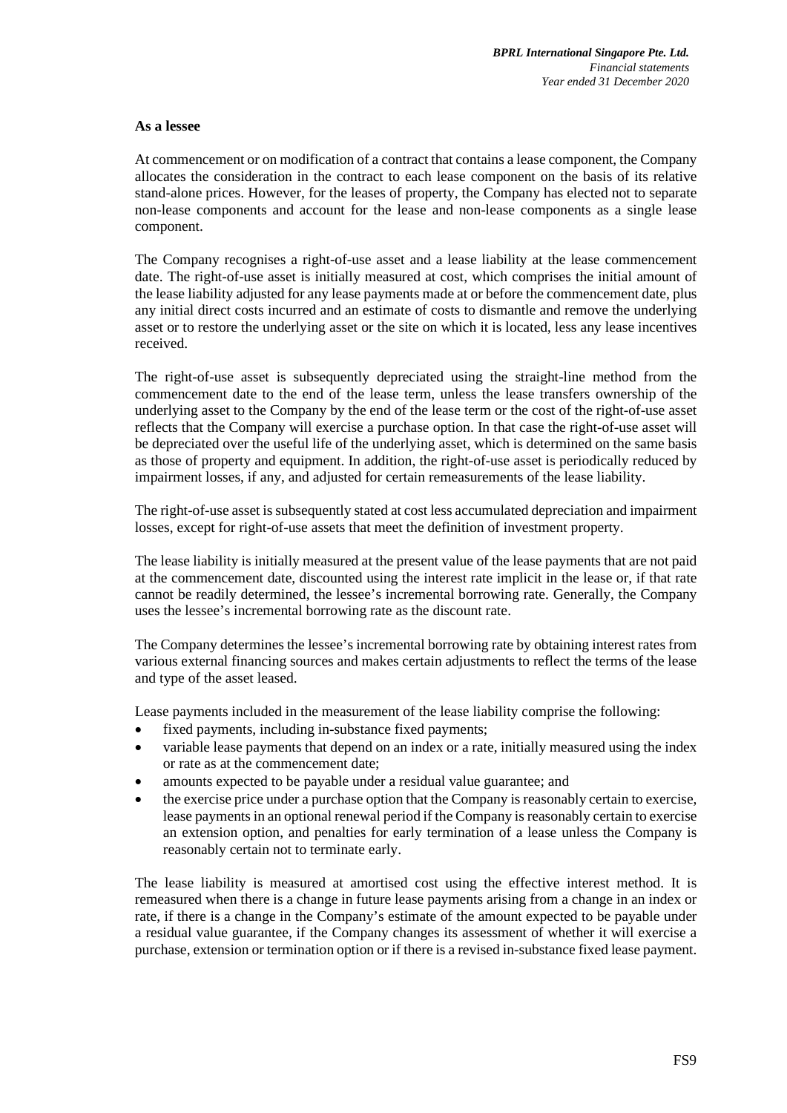#### **As a lessee**

At commencement or on modification of a contract that contains a lease component, the Company allocates the consideration in the contract to each lease component on the basis of its relative stand-alone prices. However, for the leases of property, the Company has elected not to separate non-lease components and account for the lease and non-lease components as a single lease component.

The Company recognises a right-of-use asset and a lease liability at the lease commencement date. The right-of-use asset is initially measured at cost, which comprises the initial amount of the lease liability adjusted for any lease payments made at or before the commencement date, plus any initial direct costs incurred and an estimate of costs to dismantle and remove the underlying asset or to restore the underlying asset or the site on which it is located, less any lease incentives received.

The right-of-use asset is subsequently depreciated using the straight-line method from the commencement date to the end of the lease term, unless the lease transfers ownership of the underlying asset to the Company by the end of the lease term or the cost of the right-of-use asset reflects that the Company will exercise a purchase option. In that case the right-of-use asset will be depreciated over the useful life of the underlying asset, which is determined on the same basis as those of property and equipment. In addition, the right-of-use asset is periodically reduced by impairment losses, if any, and adjusted for certain remeasurements of the lease liability.

The right-of-use asset is subsequently stated at cost less accumulated depreciation and impairment losses, except for right-of-use assets that meet the definition of investment property.

The lease liability is initially measured at the present value of the lease payments that are not paid at the commencement date, discounted using the interest rate implicit in the lease or, if that rate cannot be readily determined, the lessee's incremental borrowing rate. Generally, the Company uses the lessee's incremental borrowing rate as the discount rate.

The Company determines the lessee's incremental borrowing rate by obtaining interest rates from various external financing sources and makes certain adjustments to reflect the terms of the lease and type of the asset leased.

Lease payments included in the measurement of the lease liability comprise the following:

- fixed payments, including in-substance fixed payments;
- variable lease payments that depend on an index or a rate, initially measured using the index or rate as at the commencement date;
- amounts expected to be payable under a residual value guarantee; and
- the exercise price under a purchase option that the Company is reasonably certain to exercise, lease payments in an optional renewal period if the Company is reasonably certain to exercise an extension option, and penalties for early termination of a lease unless the Company is reasonably certain not to terminate early.

The lease liability is measured at amortised cost using the effective interest method. It is remeasured when there is a change in future lease payments arising from a change in an index or rate, if there is a change in the Company's estimate of the amount expected to be payable under a residual value guarantee, if the Company changes its assessment of whether it will exercise a purchase, extension or termination option or if there is a revised in-substance fixed lease payment.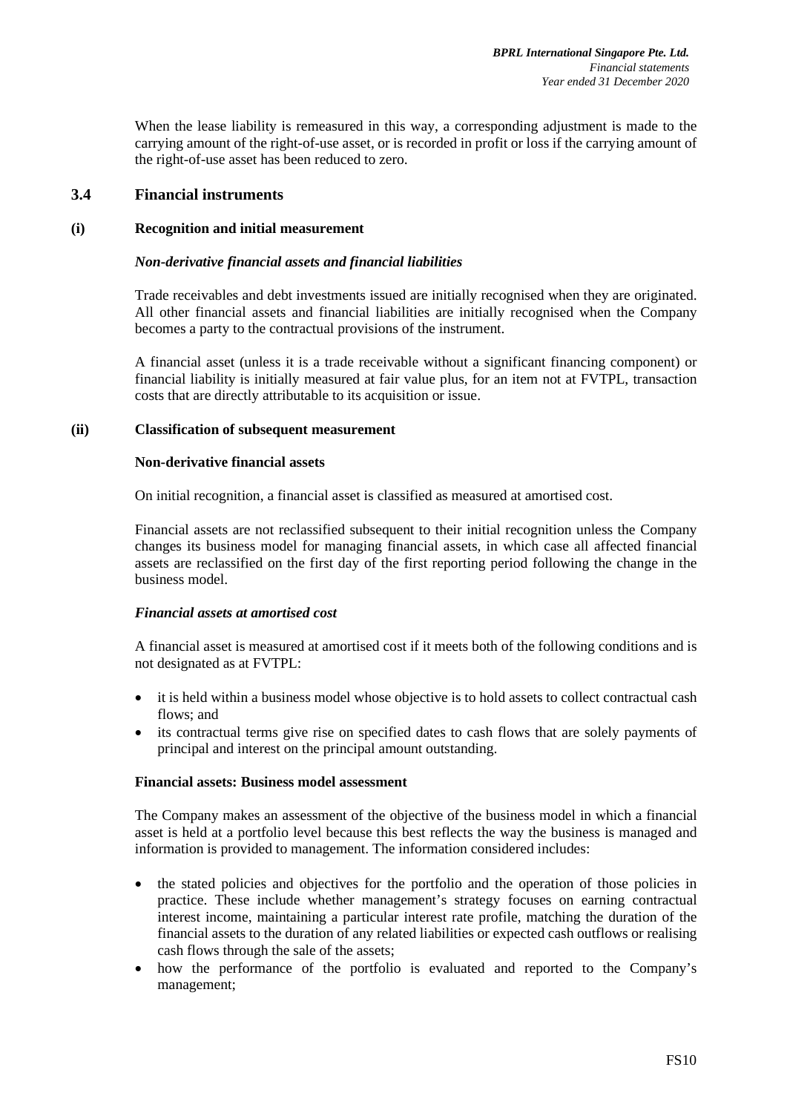When the lease liability is remeasured in this way, a corresponding adjustment is made to the carrying amount of the right-of-use asset, or is recorded in profit or loss if the carrying amount of the right-of-use asset has been reduced to zero.

### **3.4 Financial instruments**

#### **(i) Recognition and initial measurement**

#### *Non-derivative financial assets and financial liabilities*

Trade receivables and debt investments issued are initially recognised when they are originated. All other financial assets and financial liabilities are initially recognised when the Company becomes a party to the contractual provisions of the instrument.

A financial asset (unless it is a trade receivable without a significant financing component) or financial liability is initially measured at fair value plus, for an item not at FVTPL, transaction costs that are directly attributable to its acquisition or issue.

#### **(ii) Classification of subsequent measurement**

#### **Non-derivative financial assets**

On initial recognition, a financial asset is classified as measured at amortised cost.

Financial assets are not reclassified subsequent to their initial recognition unless the Company changes its business model for managing financial assets, in which case all affected financial assets are reclassified on the first day of the first reporting period following the change in the business model.

#### *Financial assets at amortised cost*

A financial asset is measured at amortised cost if it meets both of the following conditions and is not designated as at FVTPL:

- it is held within a business model whose objective is to hold assets to collect contractual cash flows; and
- its contractual terms give rise on specified dates to cash flows that are solely payments of principal and interest on the principal amount outstanding.

#### **Financial assets: Business model assessment**

The Company makes an assessment of the objective of the business model in which a financial asset is held at a portfolio level because this best reflects the way the business is managed and information is provided to management. The information considered includes:

- the stated policies and objectives for the portfolio and the operation of those policies in practice. These include whether management's strategy focuses on earning contractual interest income, maintaining a particular interest rate profile, matching the duration of the financial assets to the duration of any related liabilities or expected cash outflows or realising cash flows through the sale of the assets;
- how the performance of the portfolio is evaluated and reported to the Company's management;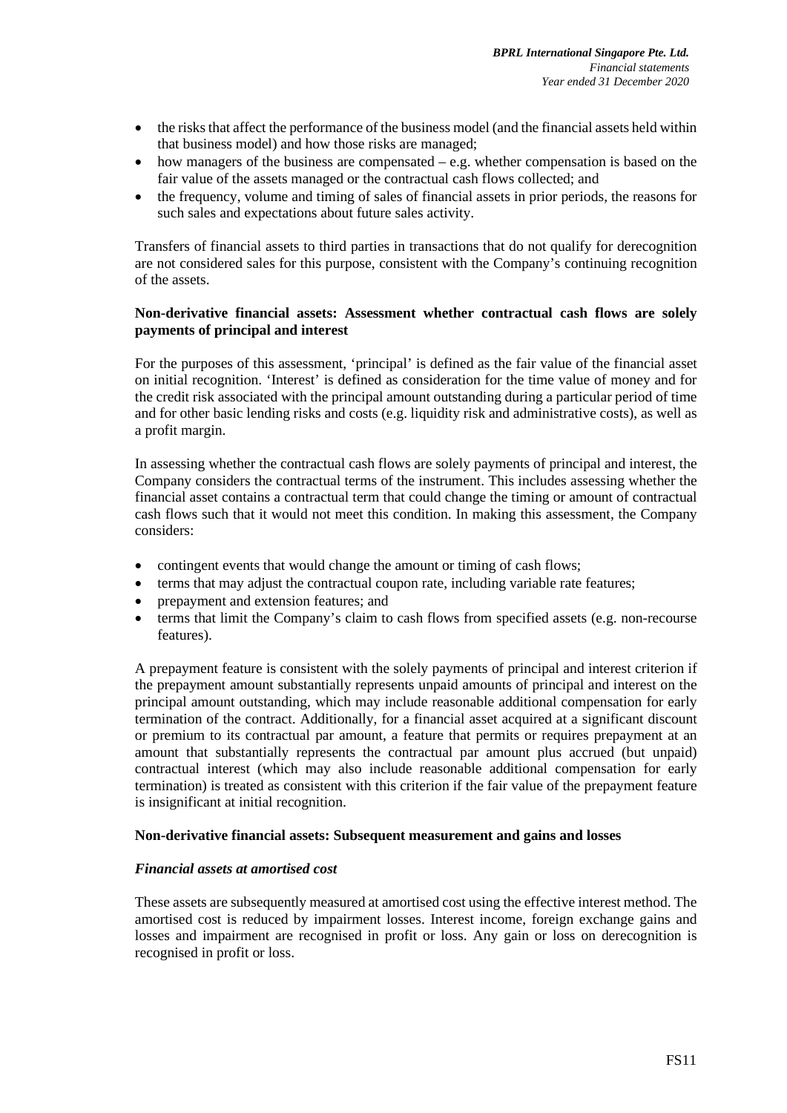- the risks that affect the performance of the business model (and the financial assets held within that business model) and how those risks are managed;
- how managers of the business are compensated  $-e.g.$  whether compensation is based on the fair value of the assets managed or the contractual cash flows collected; and
- the frequency, volume and timing of sales of financial assets in prior periods, the reasons for such sales and expectations about future sales activity.

Transfers of financial assets to third parties in transactions that do not qualify for derecognition are not considered sales for this purpose, consistent with the Company's continuing recognition of the assets.

#### **Non-derivative financial assets: Assessment whether contractual cash flows are solely payments of principal and interest**

For the purposes of this assessment, 'principal' is defined as the fair value of the financial asset on initial recognition. 'Interest' is defined as consideration for the time value of money and for the credit risk associated with the principal amount outstanding during a particular period of time and for other basic lending risks and costs (e.g. liquidity risk and administrative costs), as well as a profit margin.

In assessing whether the contractual cash flows are solely payments of principal and interest, the Company considers the contractual terms of the instrument. This includes assessing whether the financial asset contains a contractual term that could change the timing or amount of contractual cash flows such that it would not meet this condition. In making this assessment, the Company considers:

- contingent events that would change the amount or timing of cash flows;
- terms that may adjust the contractual coupon rate, including variable rate features;
- prepayment and extension features; and
- terms that limit the Company's claim to cash flows from specified assets (e.g. non-recourse features).

A prepayment feature is consistent with the solely payments of principal and interest criterion if the prepayment amount substantially represents unpaid amounts of principal and interest on the principal amount outstanding, which may include reasonable additional compensation for early termination of the contract. Additionally, for a financial asset acquired at a significant discount or premium to its contractual par amount, a feature that permits or requires prepayment at an amount that substantially represents the contractual par amount plus accrued (but unpaid) contractual interest (which may also include reasonable additional compensation for early termination) is treated as consistent with this criterion if the fair value of the prepayment feature is insignificant at initial recognition.

#### **Non-derivative financial assets: Subsequent measurement and gains and losses**

#### *Financial assets at amortised cost*

These assets are subsequently measured at amortised cost using the effective interest method. The amortised cost is reduced by impairment losses. Interest income, foreign exchange gains and losses and impairment are recognised in profit or loss. Any gain or loss on derecognition is recognised in profit or loss.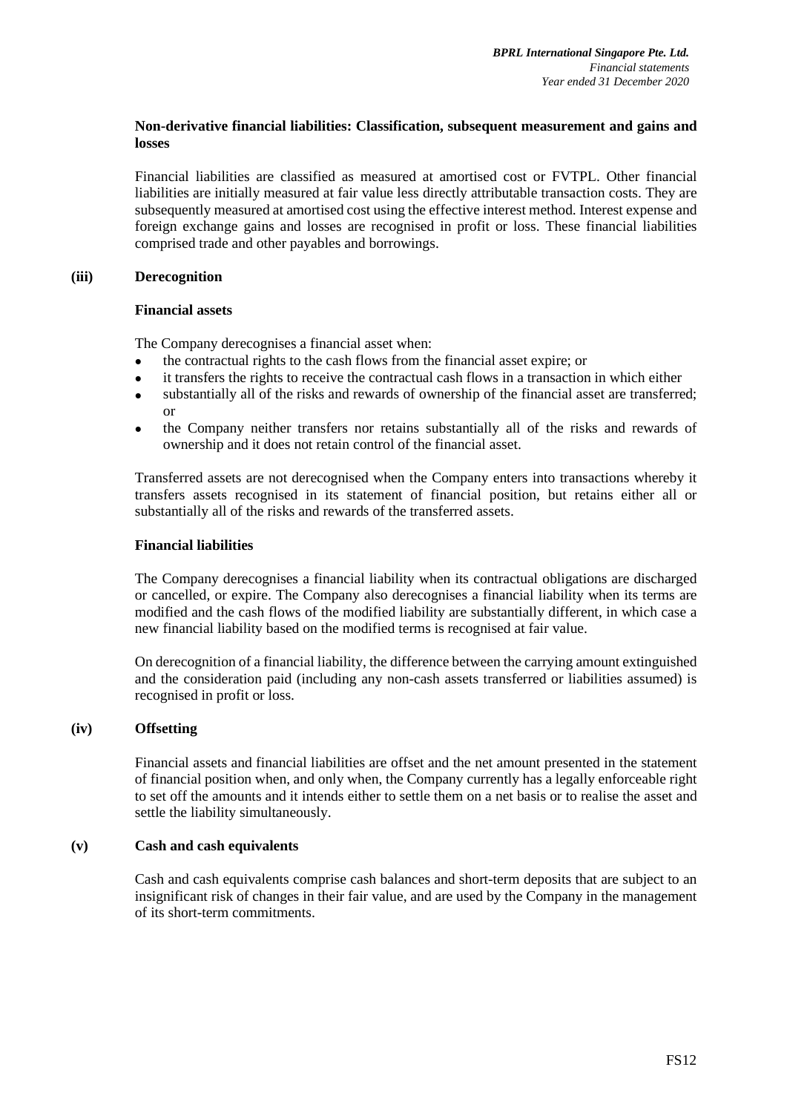#### **Non-derivative financial liabilities: Classification, subsequent measurement and gains and losses**

Financial liabilities are classified as measured at amortised cost or FVTPL. Other financial liabilities are initially measured at fair value less directly attributable transaction costs. They are subsequently measured at amortised cost using the effective interest method. Interest expense and foreign exchange gains and losses are recognised in profit or loss. These financial liabilities comprised trade and other payables and borrowings.

#### **(iii) Derecognition**

#### **Financial assets**

The Company derecognises a financial asset when:

- the contractual rights to the cash flows from the financial asset expire; or
- it transfers the rights to receive the contractual cash flows in a transaction in which either
- substantially all of the risks and rewards of ownership of the financial asset are transferred; or
- the Company neither transfers nor retains substantially all of the risks and rewards of ownership and it does not retain control of the financial asset.

Transferred assets are not derecognised when the Company enters into transactions whereby it transfers assets recognised in its statement of financial position, but retains either all or substantially all of the risks and rewards of the transferred assets.

#### **Financial liabilities**

The Company derecognises a financial liability when its contractual obligations are discharged or cancelled, or expire. The Company also derecognises a financial liability when its terms are modified and the cash flows of the modified liability are substantially different, in which case a new financial liability based on the modified terms is recognised at fair value.

On derecognition of a financial liability, the difference between the carrying amount extinguished and the consideration paid (including any non-cash assets transferred or liabilities assumed) is recognised in profit or loss.

#### **(iv) Offsetting**

Financial assets and financial liabilities are offset and the net amount presented in the statement of financial position when, and only when, the Company currently has a legally enforceable right to set off the amounts and it intends either to settle them on a net basis or to realise the asset and settle the liability simultaneously.

#### **(v) Cash and cash equivalents**

Cash and cash equivalents comprise cash balances and short-term deposits that are subject to an insignificant risk of changes in their fair value, and are used by the Company in the management of its short-term commitments.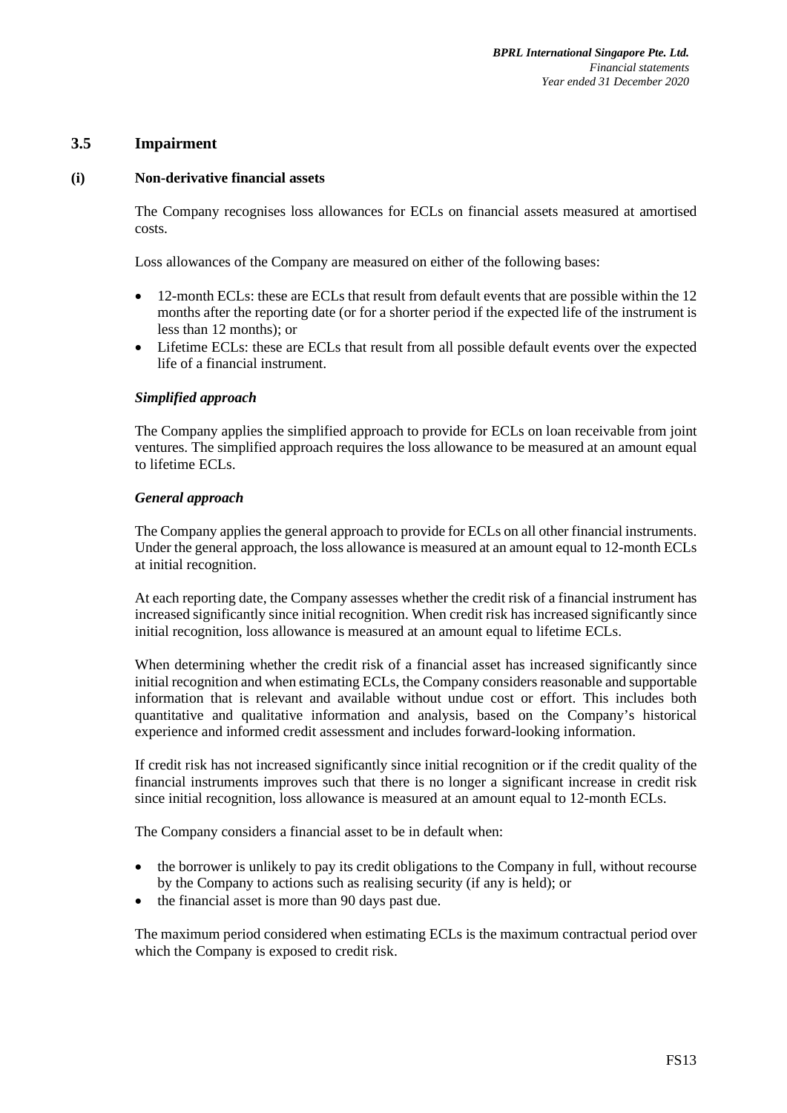# **3.5 Impairment**

#### **(i) Non-derivative financial assets**

The Company recognises loss allowances for ECLs on financial assets measured at amortised costs.

Loss allowances of the Company are measured on either of the following bases:

- 12-month ECLs: these are ECLs that result from default events that are possible within the 12 months after the reporting date (or for a shorter period if the expected life of the instrument is less than 12 months); or
- Lifetime ECLs: these are ECLs that result from all possible default events over the expected life of a financial instrument.

#### *Simplified approach*

The Company applies the simplified approach to provide for ECLs on loan receivable from joint ventures. The simplified approach requires the loss allowance to be measured at an amount equal to lifetime ECLs.

#### *General approach*

The Company applies the general approach to provide for ECLs on all other financial instruments. Under the general approach, the loss allowance is measured at an amount equal to 12-month ECLs at initial recognition.

At each reporting date, the Company assesses whether the credit risk of a financial instrument has increased significantly since initial recognition. When credit risk has increased significantly since initial recognition, loss allowance is measured at an amount equal to lifetime ECLs.

When determining whether the credit risk of a financial asset has increased significantly since initial recognition and when estimating ECLs, the Company considers reasonable and supportable information that is relevant and available without undue cost or effort. This includes both quantitative and qualitative information and analysis, based on the Company's historical experience and informed credit assessment and includes forward-looking information.

If credit risk has not increased significantly since initial recognition or if the credit quality of the financial instruments improves such that there is no longer a significant increase in credit risk since initial recognition, loss allowance is measured at an amount equal to 12-month ECLs.

The Company considers a financial asset to be in default when:

- the borrower is unlikely to pay its credit obligations to the Company in full, without recourse by the Company to actions such as realising security (if any is held); or
- the financial asset is more than 90 days past due.

The maximum period considered when estimating ECLs is the maximum contractual period over which the Company is exposed to credit risk.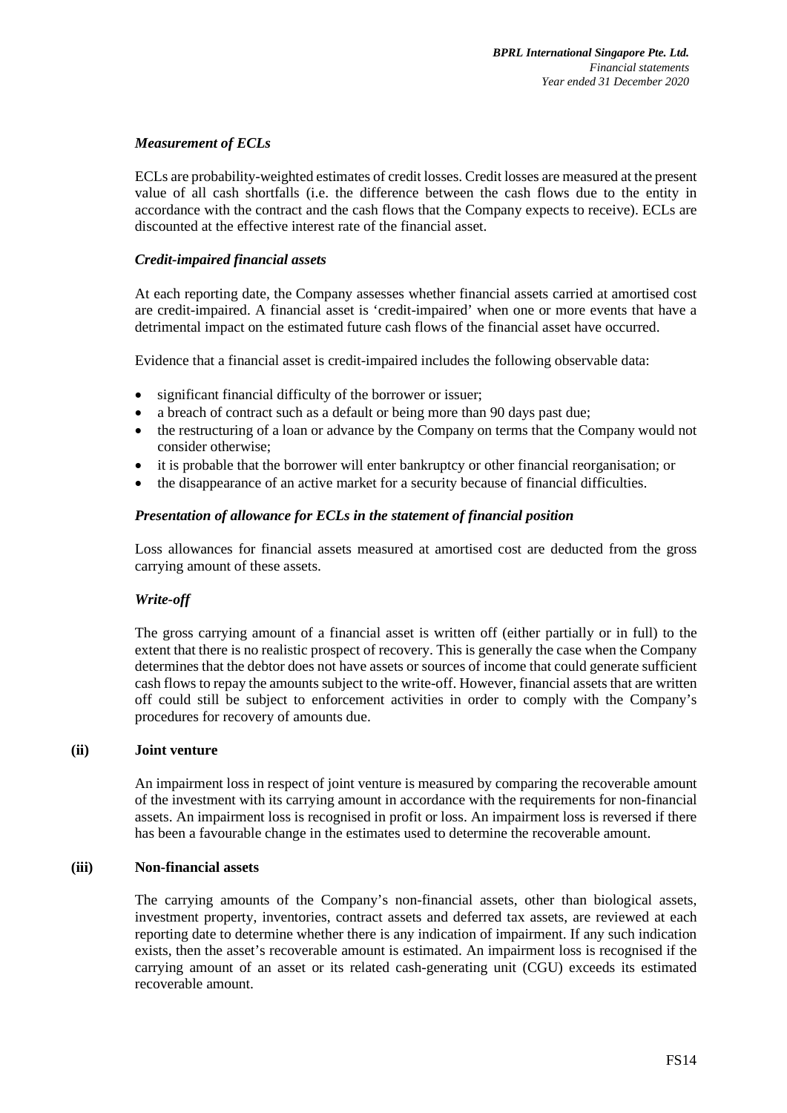#### *Measurement of ECLs*

ECLs are probability-weighted estimates of credit losses. Credit losses are measured at the present value of all cash shortfalls (i.e. the difference between the cash flows due to the entity in accordance with the contract and the cash flows that the Company expects to receive). ECLs are discounted at the effective interest rate of the financial asset.

#### *Credit-impaired financial assets*

At each reporting date, the Company assesses whether financial assets carried at amortised cost are credit-impaired. A financial asset is 'credit-impaired' when one or more events that have a detrimental impact on the estimated future cash flows of the financial asset have occurred.

Evidence that a financial asset is credit-impaired includes the following observable data:

- significant financial difficulty of the borrower or issuer;
- a breach of contract such as a default or being more than 90 days past due;
- the restructuring of a loan or advance by the Company on terms that the Company would not consider otherwise;
- it is probable that the borrower will enter bankruptcy or other financial reorganisation; or
- the disappearance of an active market for a security because of financial difficulties.

#### *Presentation of allowance for ECLs in the statement of financial position*

Loss allowances for financial assets measured at amortised cost are deducted from the gross carrying amount of these assets.

#### *Write-off*

The gross carrying amount of a financial asset is written off (either partially or in full) to the extent that there is no realistic prospect of recovery. This is generally the case when the Company determines that the debtor does not have assets or sources of income that could generate sufficient cash flows to repay the amounts subject to the write-off. However, financial assets that are written off could still be subject to enforcement activities in order to comply with the Company's procedures for recovery of amounts due.

#### **(ii) Joint venture**

An impairment loss in respect of joint venture is measured by comparing the recoverable amount of the investment with its carrying amount in accordance with the requirements for non-financial assets. An impairment loss is recognised in profit or loss. An impairment loss is reversed if there has been a favourable change in the estimates used to determine the recoverable amount.

#### **(iii) Non-financial assets**

The carrying amounts of the Company's non-financial assets, other than biological assets, investment property, inventories, contract assets and deferred tax assets, are reviewed at each reporting date to determine whether there is any indication of impairment. If any such indication exists, then the asset's recoverable amount is estimated. An impairment loss is recognised if the carrying amount of an asset or its related cash-generating unit (CGU) exceeds its estimated recoverable amount.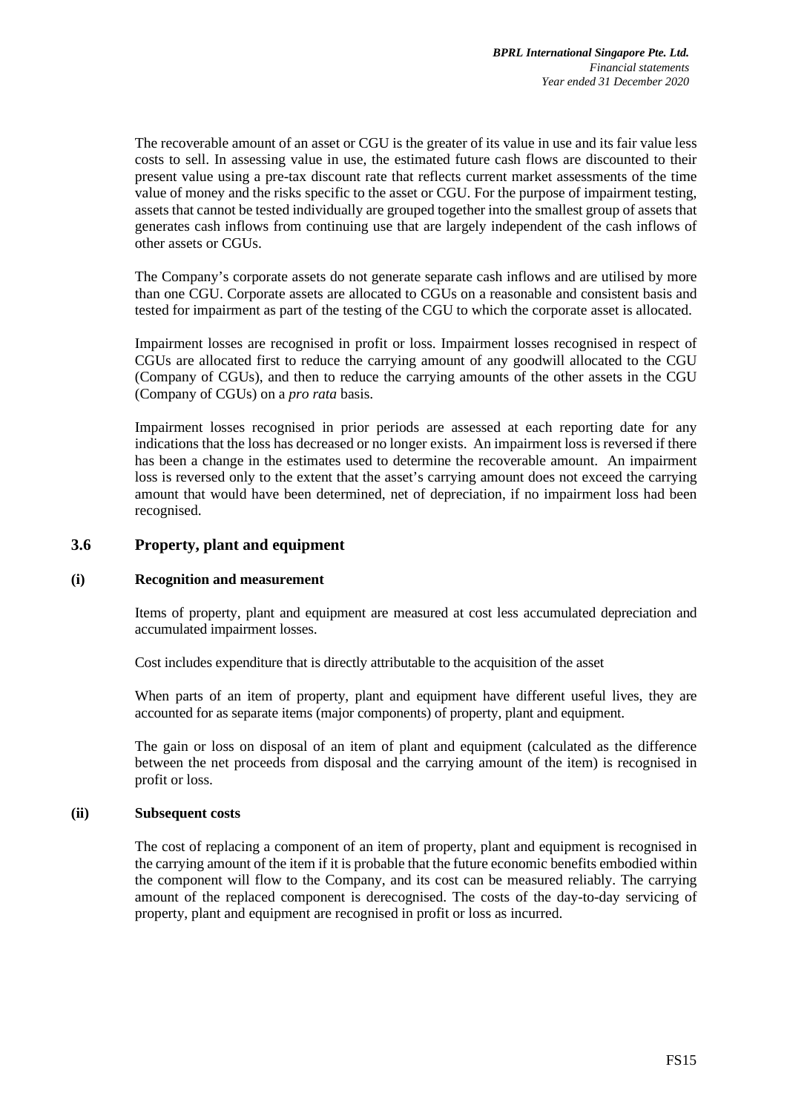The recoverable amount of an asset or CGU is the greater of its value in use and its fair value less costs to sell. In assessing value in use, the estimated future cash flows are discounted to their present value using a pre-tax discount rate that reflects current market assessments of the time value of money and the risks specific to the asset or CGU. For the purpose of impairment testing, assets that cannot be tested individually are grouped together into the smallest group of assets that generates cash inflows from continuing use that are largely independent of the cash inflows of other assets or CGUs.

The Company's corporate assets do not generate separate cash inflows and are utilised by more than one CGU. Corporate assets are allocated to CGUs on a reasonable and consistent basis and tested for impairment as part of the testing of the CGU to which the corporate asset is allocated.

Impairment losses are recognised in profit or loss. Impairment losses recognised in respect of CGUs are allocated first to reduce the carrying amount of any goodwill allocated to the CGU (Company of CGUs), and then to reduce the carrying amounts of the other assets in the CGU (Company of CGUs) on a *pro rata* basis.

Impairment losses recognised in prior periods are assessed at each reporting date for any indications that the loss has decreased or no longer exists. An impairment loss is reversed if there has been a change in the estimates used to determine the recoverable amount. An impairment loss is reversed only to the extent that the asset's carrying amount does not exceed the carrying amount that would have been determined, net of depreciation, if no impairment loss had been recognised.

## **3.6 Property, plant and equipment**

#### **(i) Recognition and measurement**

Items of property, plant and equipment are measured at cost less accumulated depreciation and accumulated impairment losses.

Cost includes expenditure that is directly attributable to the acquisition of the asset

When parts of an item of property, plant and equipment have different useful lives, they are accounted for as separate items (major components) of property, plant and equipment.

The gain or loss on disposal of an item of plant and equipment (calculated as the difference between the net proceeds from disposal and the carrying amount of the item) is recognised in profit or loss.

#### **(ii) Subsequent costs**

The cost of replacing a component of an item of property, plant and equipment is recognised in the carrying amount of the item if it is probable that the future economic benefits embodied within the component will flow to the Company, and its cost can be measured reliably. The carrying amount of the replaced component is derecognised. The costs of the day-to-day servicing of property, plant and equipment are recognised in profit or loss as incurred.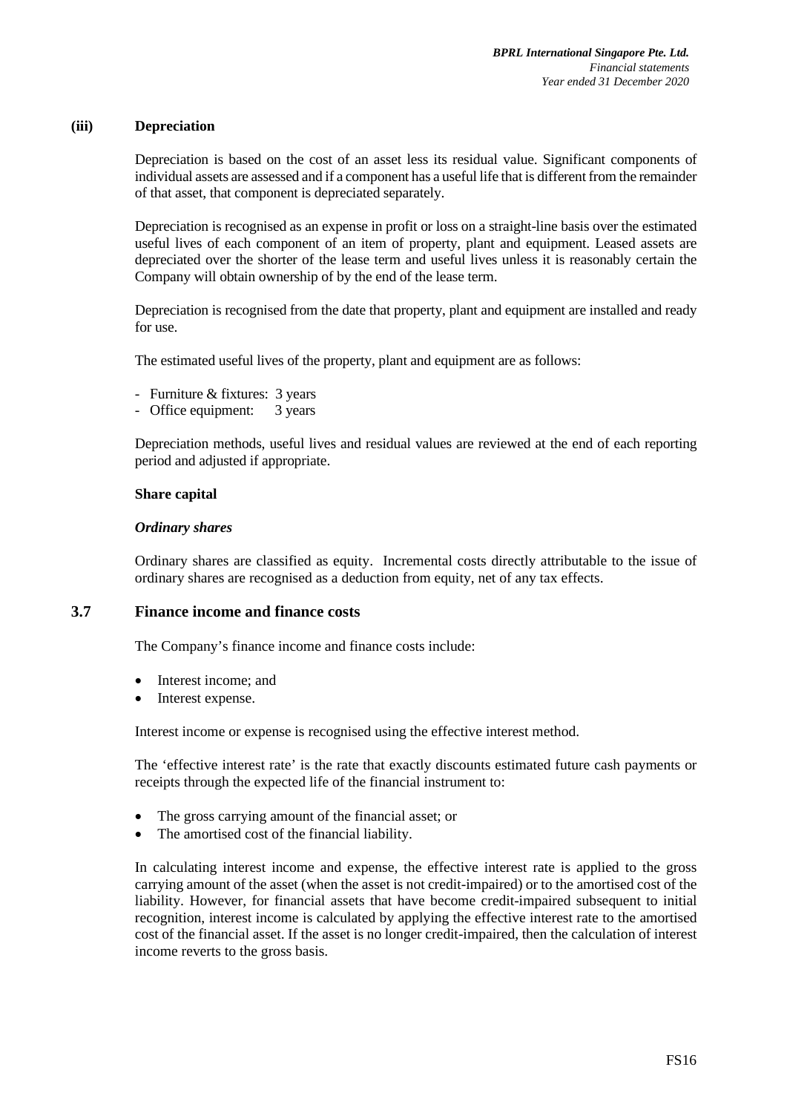#### **(iii) Depreciation**

Depreciation is based on the cost of an asset less its residual value. Significant components of individual assets are assessed and if a component has a useful life that is different from the remainder of that asset, that component is depreciated separately.

Depreciation is recognised as an expense in profit or loss on a straight-line basis over the estimated useful lives of each component of an item of property, plant and equipment. Leased assets are depreciated over the shorter of the lease term and useful lives unless it is reasonably certain the Company will obtain ownership of by the end of the lease term.

Depreciation is recognised from the date that property, plant and equipment are installed and ready for use.

The estimated useful lives of the property, plant and equipment are as follows:

- Furniture & fixtures: 3 years
- Office equipment: 3 years

Depreciation methods, useful lives and residual values are reviewed at the end of each reporting period and adjusted if appropriate.

#### **Share capital**

#### *Ordinary shares*

Ordinary shares are classified as equity. Incremental costs directly attributable to the issue of ordinary shares are recognised as a deduction from equity, net of any tax effects.

#### **3.7 Finance income and finance costs**

The Company's finance income and finance costs include:

- Interest income; and
- Interest expense.

Interest income or expense is recognised using the effective interest method.

The 'effective interest rate' is the rate that exactly discounts estimated future cash payments or receipts through the expected life of the financial instrument to:

- The gross carrying amount of the financial asset; or
- The amortised cost of the financial liability.

In calculating interest income and expense, the effective interest rate is applied to the gross carrying amount of the asset (when the asset is not credit-impaired) or to the amortised cost of the liability. However, for financial assets that have become credit-impaired subsequent to initial recognition, interest income is calculated by applying the effective interest rate to the amortised cost of the financial asset. If the asset is no longer credit-impaired, then the calculation of interest income reverts to the gross basis.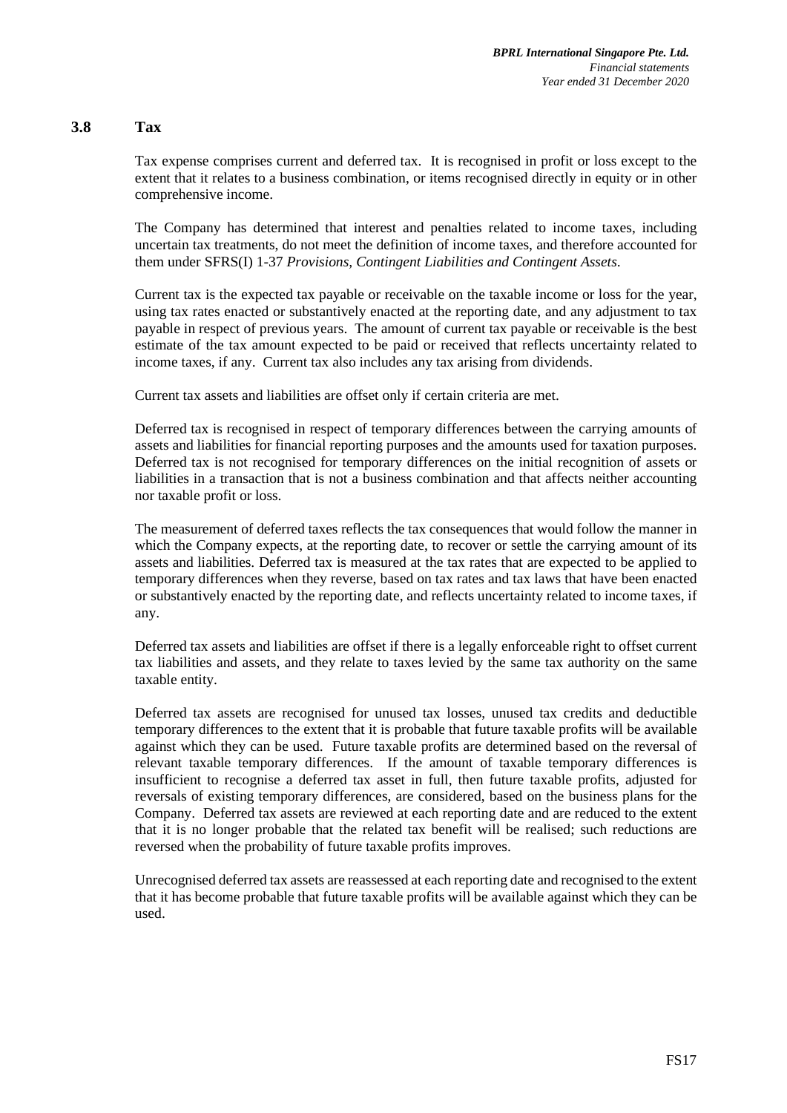# **3.8 Tax**

Tax expense comprises current and deferred tax. It is recognised in profit or loss except to the extent that it relates to a business combination, or items recognised directly in equity or in other comprehensive income.

The Company has determined that interest and penalties related to income taxes, including uncertain tax treatments, do not meet the definition of income taxes, and therefore accounted for them under SFRS(I) 1-37 *Provisions, Contingent Liabilities and Contingent Assets*.

Current tax is the expected tax payable or receivable on the taxable income or loss for the year, using tax rates enacted or substantively enacted at the reporting date, and any adjustment to tax payable in respect of previous years. The amount of current tax payable or receivable is the best estimate of the tax amount expected to be paid or received that reflects uncertainty related to income taxes, if any. Current tax also includes any tax arising from dividends.

Current tax assets and liabilities are offset only if certain criteria are met.

Deferred tax is recognised in respect of temporary differences between the carrying amounts of assets and liabilities for financial reporting purposes and the amounts used for taxation purposes. Deferred tax is not recognised for temporary differences on the initial recognition of assets or liabilities in a transaction that is not a business combination and that affects neither accounting nor taxable profit or loss.

The measurement of deferred taxes reflects the tax consequences that would follow the manner in which the Company expects, at the reporting date, to recover or settle the carrying amount of its assets and liabilities. Deferred tax is measured at the tax rates that are expected to be applied to temporary differences when they reverse, based on tax rates and tax laws that have been enacted or substantively enacted by the reporting date, and reflects uncertainty related to income taxes, if any.

Deferred tax assets and liabilities are offset if there is a legally enforceable right to offset current tax liabilities and assets, and they relate to taxes levied by the same tax authority on the same taxable entity.

Deferred tax assets are recognised for unused tax losses, unused tax credits and deductible temporary differences to the extent that it is probable that future taxable profits will be available against which they can be used. Future taxable profits are determined based on the reversal of relevant taxable temporary differences. If the amount of taxable temporary differences is insufficient to recognise a deferred tax asset in full, then future taxable profits, adjusted for reversals of existing temporary differences, are considered, based on the business plans for the Company. Deferred tax assets are reviewed at each reporting date and are reduced to the extent that it is no longer probable that the related tax benefit will be realised; such reductions are reversed when the probability of future taxable profits improves.

Unrecognised deferred tax assets are reassessed at each reporting date and recognised to the extent that it has become probable that future taxable profits will be available against which they can be used.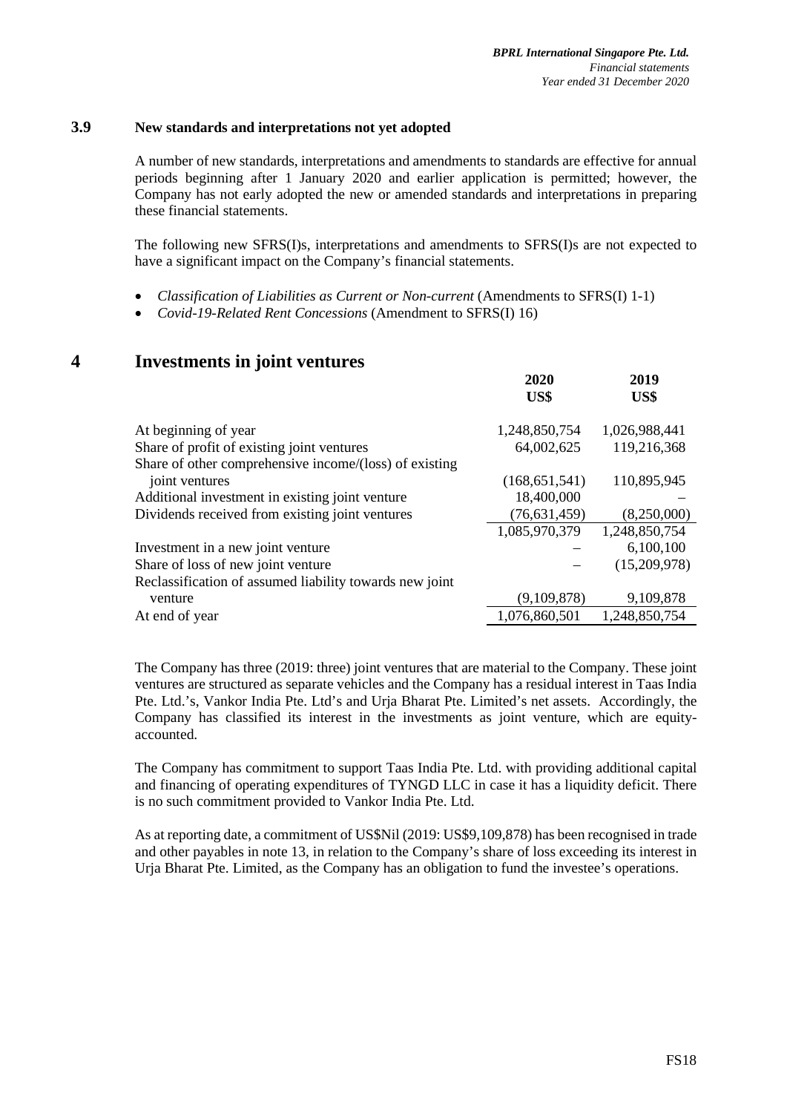**2020 2019**

# **3.9 New standards and interpretations not yet adopted**

A number of new standards, interpretations and amendments to standards are effective for annual periods beginning after 1 January 2020 and earlier application is permitted; however, the Company has not early adopted the new or amended standards and interpretations in preparing these financial statements.

The following new SFRS(I)s, interpretations and amendments to SFRS(I)s are not expected to have a significant impact on the Company's financial statements.

- *Classification of Liabilities as Current or Non-current* (Amendments to SFRS(I) 1-1)
- *Covid-19-Related Rent Concessions* (Amendment to SFRS(I) 16)

# **4 Investments in joint ventures**

|                                                         | US\$            | US\$          |
|---------------------------------------------------------|-----------------|---------------|
| At beginning of year                                    | 1,248,850,754   | 1,026,988,441 |
| Share of profit of existing joint ventures              | 64,002,625      | 119,216,368   |
| Share of other comprehensive income/(loss) of existing  |                 |               |
| joint ventures                                          | (168, 651, 541) | 110,895,945   |
| Additional investment in existing joint venture         | 18,400,000      |               |
| Dividends received from existing joint ventures         | (76, 631, 459)  | (8,250,000)   |
|                                                         | 1,085,970,379   | 1,248,850,754 |
| Investment in a new joint venture                       |                 | 6,100,100     |
| Share of loss of new joint venture                      |                 | (15,209,978)  |
| Reclassification of assumed liability towards new joint |                 |               |
| venture                                                 | (9,109,878)     | 9,109,878     |
| At end of year                                          | 1,076,860,501   | 1,248,850,754 |

The Company has three (2019: three) joint ventures that are material to the Company. These joint ventures are structured as separate vehicles and the Company has a residual interest in Taas India Pte. Ltd.'s, Vankor India Pte. Ltd's and Urja Bharat Pte. Limited's net assets. Accordingly, the Company has classified its interest in the investments as joint venture, which are equityaccounted.

The Company has commitment to support Taas India Pte. Ltd. with providing additional capital and financing of operating expenditures of TYNGD LLC in case it has a liquidity deficit. There is no such commitment provided to Vankor India Pte. Ltd.

As at reporting date, a commitment of US\$Nil (2019: US\$9,109,878) has been recognised in trade and other payables in note 13, in relation to the Company's share of loss exceeding its interest in Urja Bharat Pte. Limited, as the Company has an obligation to fund the investee's operations.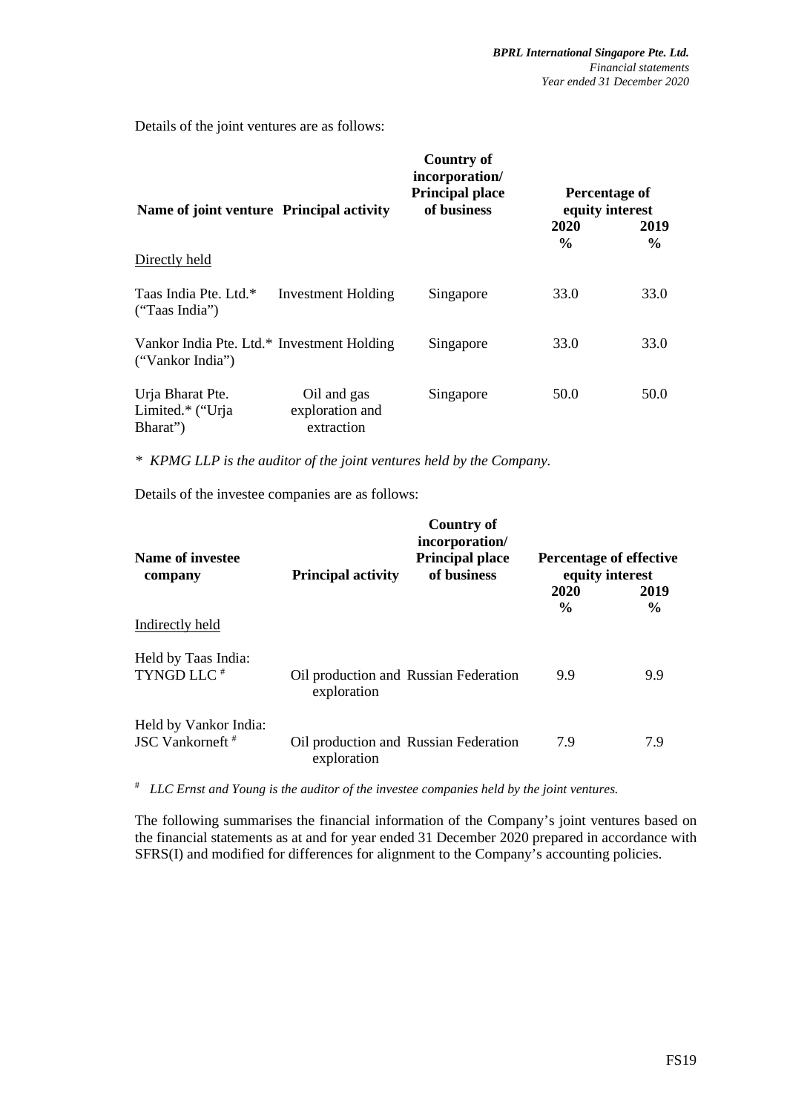Details of the joint ventures are as follows:

| Name of joint venture Principal activity                       |                                              | <b>Country of</b><br>incorporation/<br><b>Principal place</b><br>of business |                       |                       |
|----------------------------------------------------------------|----------------------------------------------|------------------------------------------------------------------------------|-----------------------|-----------------------|
|                                                                |                                              |                                                                              | 2020<br>$\frac{6}{9}$ | 2019<br>$\frac{0}{0}$ |
| Directly held                                                  |                                              |                                                                              |                       |                       |
| Taas India Pte. Ltd.*<br>("Taas India")                        | <b>Investment Holding</b>                    | Singapore                                                                    | 33.0                  | 33.0                  |
| Vankor India Pte. Ltd.* Investment Holding<br>("Vankor India") |                                              | Singapore                                                                    | 33.0                  | 33.0                  |
| Urja Bharat Pte.<br>Limited.* ("Urja<br>Bharat")               | Oil and gas<br>exploration and<br>extraction | Singapore                                                                    | 50.0                  | 50.0                  |

*\* KPMG LLP is the auditor of the joint ventures held by the Company.*

Details of the investee companies are as follows:

| <b>Name of investee</b><br>company                   | <b>Principal activity</b>                            | Country of<br>incorporation/<br><b>Principal place</b><br>of business | <b>Percentage of effective</b><br>equity interest<br>2020<br>$\frac{0}{0}$ | 2019<br>$\frac{0}{0}$ |
|------------------------------------------------------|------------------------------------------------------|-----------------------------------------------------------------------|----------------------------------------------------------------------------|-----------------------|
| Indirectly held                                      |                                                      |                                                                       |                                                                            |                       |
| Held by Taas India:<br>TYNGD LLC <sup>#</sup>        | Oil production and Russian Federation<br>exploration |                                                                       | 9.9                                                                        | 9.9                   |
| Held by Vankor India:<br>JSC Vankorneft <sup>#</sup> | Oil production and Russian Federation<br>exploration |                                                                       | 7.9                                                                        | 7.9                   |

# *LLC Ernst and Young is the auditor of the investee companies held by the joint ventures.* 

The following summarises the financial information of the Company's joint ventures based on the financial statements as at and for year ended 31 December 2020 prepared in accordance with SFRS(I) and modified for differences for alignment to the Company's accounting policies.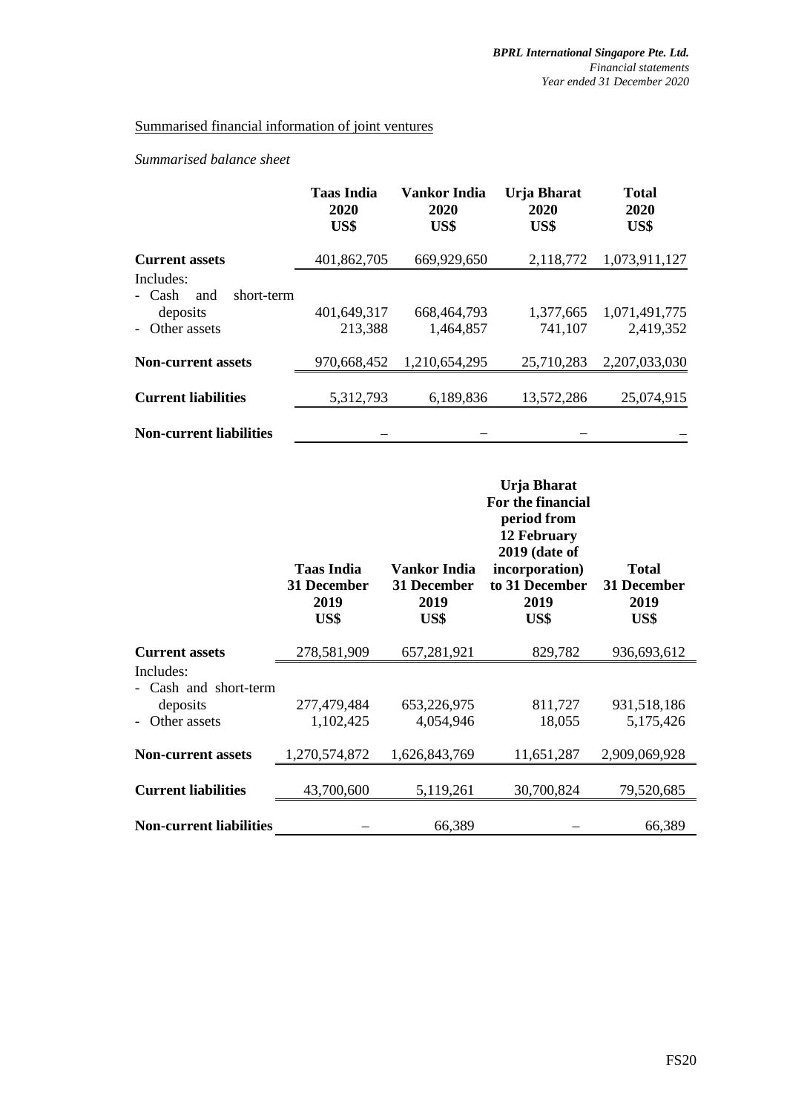# Summarised financial information of joint ventures

#### *Summarised balance sheet*

|                                            | <b>Taas India</b><br>2020<br>US\$ | Vankor India<br>2020<br>US\$ | Urja Bharat<br>2020<br>US\$ | <b>Total</b><br>2020<br>US\$ |
|--------------------------------------------|-----------------------------------|------------------------------|-----------------------------|------------------------------|
| <b>Current assets</b>                      | 401,862,705                       | 669,929,650                  | 2,118,772                   | 1,073,911,127                |
| Includes:<br>- Cash<br>short-term<br>and   |                                   |                              |                             |                              |
| deposits<br>Other assets<br>$\overline{a}$ | 401,649,317<br>213,388            | 668, 464, 793<br>1,464,857   | 1,377,665<br>741,107        | 1,071,491,775<br>2,419,352   |
| <b>Non-current assets</b>                  | 970,668,452                       | 1,210,654,295                | 25,710,283                  | 2,207,033,030                |
| <b>Current liabilities</b>                 | 5,312,793                         | 6,189,836                    | 13,572,286                  | 25,074,915                   |
| <b>Non-current liabilities</b>             |                                   |                              |                             |                              |

|                                    | <b>Taas India</b><br>31 December<br>2019<br>US\$ | Vankor India<br>31 December<br>2019<br>US\$ | Urja Bharat<br>For the financial<br>period from<br>12 February<br>2019 (date of<br>incorporation)<br>to 31 December<br>2019<br>US\$ | <b>Total</b><br>31 December<br>2019<br>US\$ |
|------------------------------------|--------------------------------------------------|---------------------------------------------|-------------------------------------------------------------------------------------------------------------------------------------|---------------------------------------------|
| <b>Current assets</b>              | 278,581,909                                      | 657,281,921                                 | 829,782                                                                                                                             | 936,693,612                                 |
| Includes:<br>- Cash and short-term |                                                  |                                             |                                                                                                                                     |                                             |
| deposits                           | 277,479,484                                      | 653,226,975                                 | 811,727                                                                                                                             | 931,518,186                                 |
| Other assets                       | 1,102,425                                        | 4,054,946                                   | 18,055                                                                                                                              | 5,175,426                                   |
| <b>Non-current assets</b>          | 1,270,574,872                                    | 1,626,843,769                               | 11,651,287                                                                                                                          | 2,909,069,928                               |
| <b>Current liabilities</b>         | 43,700,600                                       | 5,119,261                                   | 30,700,824                                                                                                                          | 79,520,685                                  |
| <b>Non-current liabilities</b>     |                                                  | 66,389                                      |                                                                                                                                     | 66,389                                      |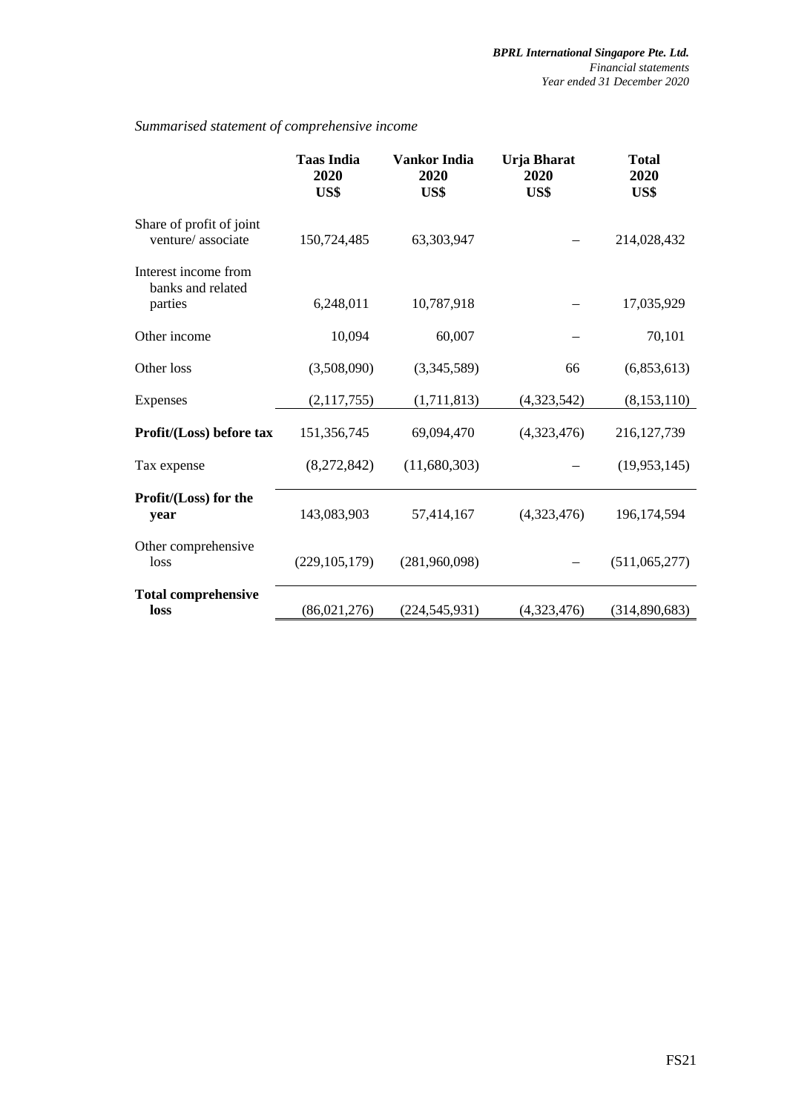|                                                      | <b>Taas India</b><br>2020<br>US\$ | <b>Vankor India</b><br>2020<br>US\$ | Urja Bharat<br>2020<br>US\$ | <b>Total</b><br>2020<br>US\$ |
|------------------------------------------------------|-----------------------------------|-------------------------------------|-----------------------------|------------------------------|
| Share of profit of joint<br>venture/associate        | 150,724,485                       | 63,303,947                          |                             | 214,028,432                  |
| Interest income from<br>banks and related<br>parties | 6,248,011                         | 10,787,918                          |                             | 17,035,929                   |
| Other income                                         | 10,094                            | 60,007                              |                             | 70,101                       |
| Other loss                                           | (3,508,090)                       | (3,345,589)                         | 66                          | (6,853,613)                  |
| <b>Expenses</b>                                      | (2,117,755)                       | (1,711,813)                         | (4,323,542)                 | (8, 153, 110)                |
| Profit/(Loss) before tax                             | 151,356,745                       | 69,094,470                          | (4,323,476)                 | 216, 127, 739                |
| Tax expense                                          | (8,272,842)                       | (11,680,303)                        |                             | (19, 953, 145)               |
| Profit/(Loss) for the<br>year                        | 143,083,903                       | 57,414,167                          | (4,323,476)                 | 196,174,594                  |
| Other comprehensive<br>loss                          | (229, 105, 179)                   | (281,960,098)                       |                             | (511,065,277)                |
| <b>Total comprehensive</b><br>loss                   | (86,021,276)                      | (224, 545, 931)                     | (4,323,476)                 | (314,890,683)                |

# *Summarised statement of comprehensive income*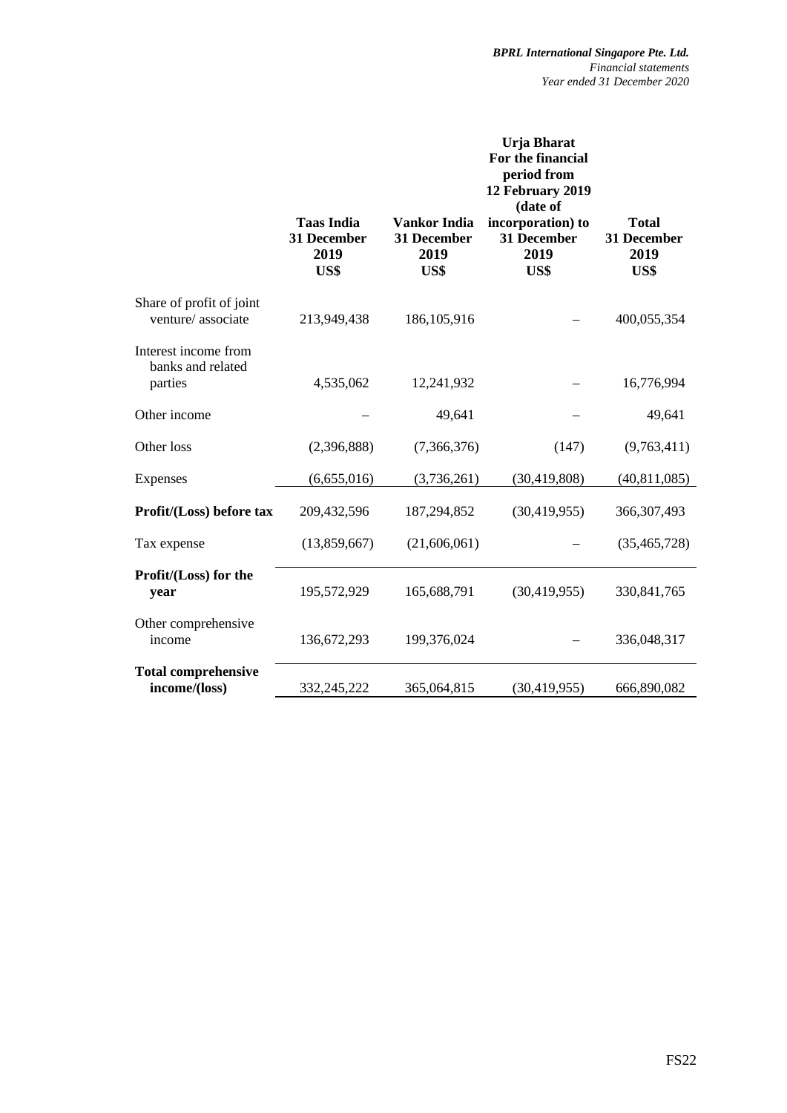|                                                      | <b>Taas India</b><br>31 December<br>2019<br>US\$ | Vankor India<br>31 December<br>2019<br>US\$ | Urja Bharat<br>For the financial<br>period from<br>12 February 2019<br>(date of<br>incorporation) to<br>31 December<br>2019<br>US\$ | <b>Total</b><br>31 December<br>2019<br>US\$ |
|------------------------------------------------------|--------------------------------------------------|---------------------------------------------|-------------------------------------------------------------------------------------------------------------------------------------|---------------------------------------------|
| Share of profit of joint<br>venture/associate        | 213,949,438                                      | 186, 105, 916                               |                                                                                                                                     | 400,055,354                                 |
| Interest income from<br>banks and related<br>parties | 4,535,062                                        | 12,241,932                                  |                                                                                                                                     | 16,776,994                                  |
| Other income                                         |                                                  | 49,641                                      |                                                                                                                                     | 49,641                                      |
| Other loss                                           | (2,396,888)                                      | (7,366,376)                                 | (147)                                                                                                                               | (9,763,411)                                 |
| <b>Expenses</b>                                      | (6,655,016)                                      | (3,736,261)                                 | (30, 419, 808)                                                                                                                      | (40,811,085)                                |
| Profit/(Loss) before tax                             | 209,432,596                                      | 187,294,852                                 | (30, 419, 955)                                                                                                                      | 366, 307, 493                               |
| Tax expense                                          | (13,859,667)                                     | (21,606,061)                                |                                                                                                                                     | (35, 465, 728)                              |
| Profit/(Loss) for the<br>year                        | 195,572,929                                      | 165,688,791                                 | (30, 419, 955)                                                                                                                      | 330, 841, 765                               |
| Other comprehensive<br>income                        | 136,672,293                                      | 199,376,024                                 |                                                                                                                                     | 336,048,317                                 |
| <b>Total comprehensive</b><br>income/(loss)          | 332,245,222                                      | 365,064,815                                 | (30, 419, 955)                                                                                                                      | 666,890,082                                 |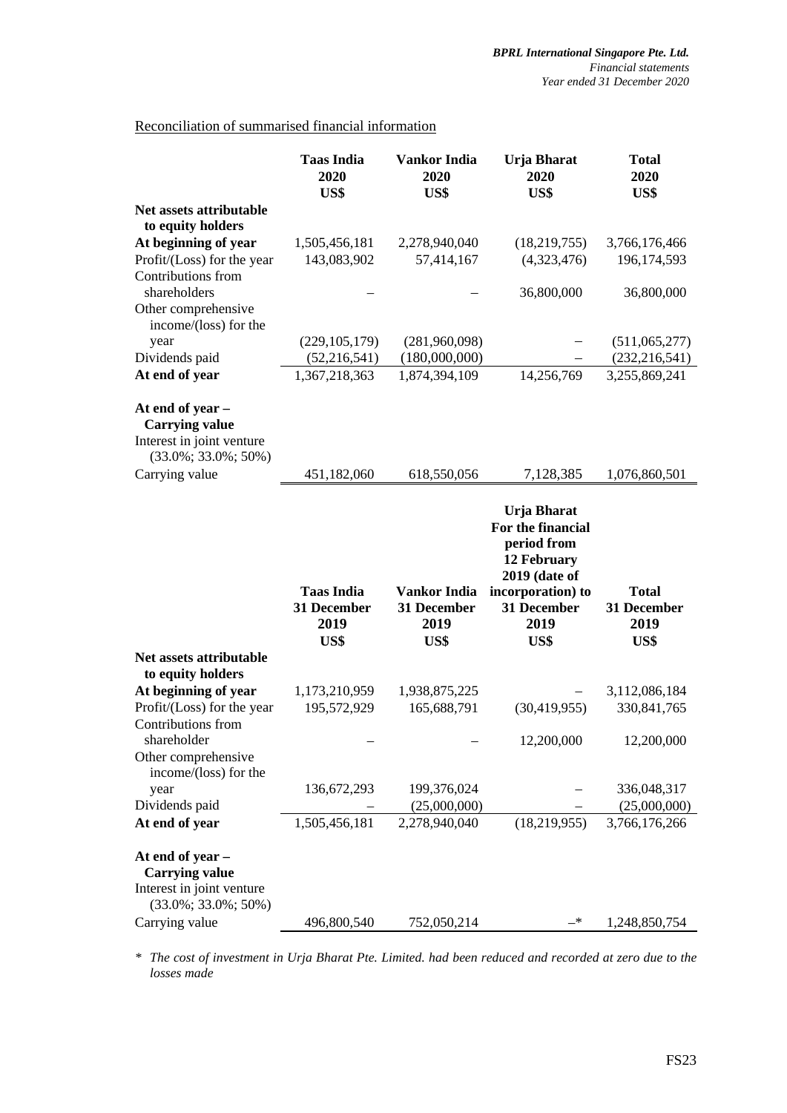# Reconciliation of summarised financial information

|                                                                                                    | <b>Taas India</b><br>2020<br>US\$                | Vankor India<br>2020<br>US\$                       | Urja Bharat<br>2020<br>US\$                                                                                                         | Total<br>2020<br>US\$                       |
|----------------------------------------------------------------------------------------------------|--------------------------------------------------|----------------------------------------------------|-------------------------------------------------------------------------------------------------------------------------------------|---------------------------------------------|
| Net assets attributable<br>to equity holders                                                       |                                                  |                                                    |                                                                                                                                     |                                             |
| At beginning of year                                                                               | 1,505,456,181                                    | 2,278,940,040                                      | (18,219,755)                                                                                                                        | 3,766,176,466                               |
| Profit/(Loss) for the year                                                                         | 143,083,902                                      | 57,414,167                                         | (4,323,476)                                                                                                                         | 196, 174, 593                               |
| Contributions from<br>shareholders                                                                 |                                                  |                                                    | 36,800,000                                                                                                                          | 36,800,000                                  |
| Other comprehensive<br>income/(loss) for the                                                       |                                                  |                                                    |                                                                                                                                     |                                             |
| year                                                                                               | (229, 105, 179)                                  | (281,960,098)                                      |                                                                                                                                     | (511,065,277)                               |
| Dividends paid                                                                                     | (52, 216, 541)                                   | (180,000,000)                                      |                                                                                                                                     | (232, 216, 541)                             |
| At end of year                                                                                     | 1,367,218,363                                    | 1,874,394,109                                      | 14,256,769                                                                                                                          | 3,255,869,241                               |
| At end of year -<br><b>Carrying value</b><br>Interest in joint venture<br>$(33.0\%; 33.0\%; 50\%)$ |                                                  |                                                    |                                                                                                                                     |                                             |
| Carrying value                                                                                     | 451,182,060                                      | 618,550,056                                        | 7,128,385                                                                                                                           | 1,076,860,501                               |
|                                                                                                    | <b>Taas India</b><br>31 December<br>2019<br>US\$ | <b>Vankor India</b><br>31 December<br>2019<br>US\$ | Urja Bharat<br>For the financial<br>period from<br>12 February<br>2019 (date of<br>incorporation) to<br>31 December<br>2019<br>US\$ | <b>Total</b><br>31 December<br>2019<br>US\$ |
| Net assets attributable                                                                            |                                                  |                                                    |                                                                                                                                     |                                             |
| to equity holders                                                                                  |                                                  |                                                    |                                                                                                                                     |                                             |
| At beginning of year                                                                               | 1,173,210,959                                    | 1,938,875,225                                      |                                                                                                                                     | 3,112,086,184                               |
| Profit/(Loss) for the year<br>Contributions from<br>shareholder                                    | 195,572,929                                      | 165,688,791                                        | (30, 419, 955)<br>12,200,000                                                                                                        | 330, 841, 765<br>12,200,000                 |
| Other comprehensive<br>income/(loss) for the                                                       |                                                  |                                                    |                                                                                                                                     |                                             |
| year                                                                                               | 136,672,293                                      | 199,376,024                                        |                                                                                                                                     | 336,048,317                                 |
| Dividends paid                                                                                     |                                                  | (25,000,000)                                       |                                                                                                                                     | (25,000,000)                                |
| At end of year                                                                                     | 1,505,456,181                                    | 2,278,940,040                                      | (18, 219, 955)                                                                                                                      | 3,766,176,266                               |
| At end of year -<br><b>Carrying value</b><br>Interest in joint venture                             |                                                  |                                                    |                                                                                                                                     |                                             |
| $(33.0\%; 33.0\%; 50\%)$                                                                           |                                                  |                                                    |                                                                                                                                     |                                             |
| Carrying value                                                                                     | 496,800,540                                      | 752,050,214                                        | —*                                                                                                                                  | 1,248,850,754                               |

*\* The cost of investment in Urja Bharat Pte. Limited. had been reduced and recorded at zero due to the losses made*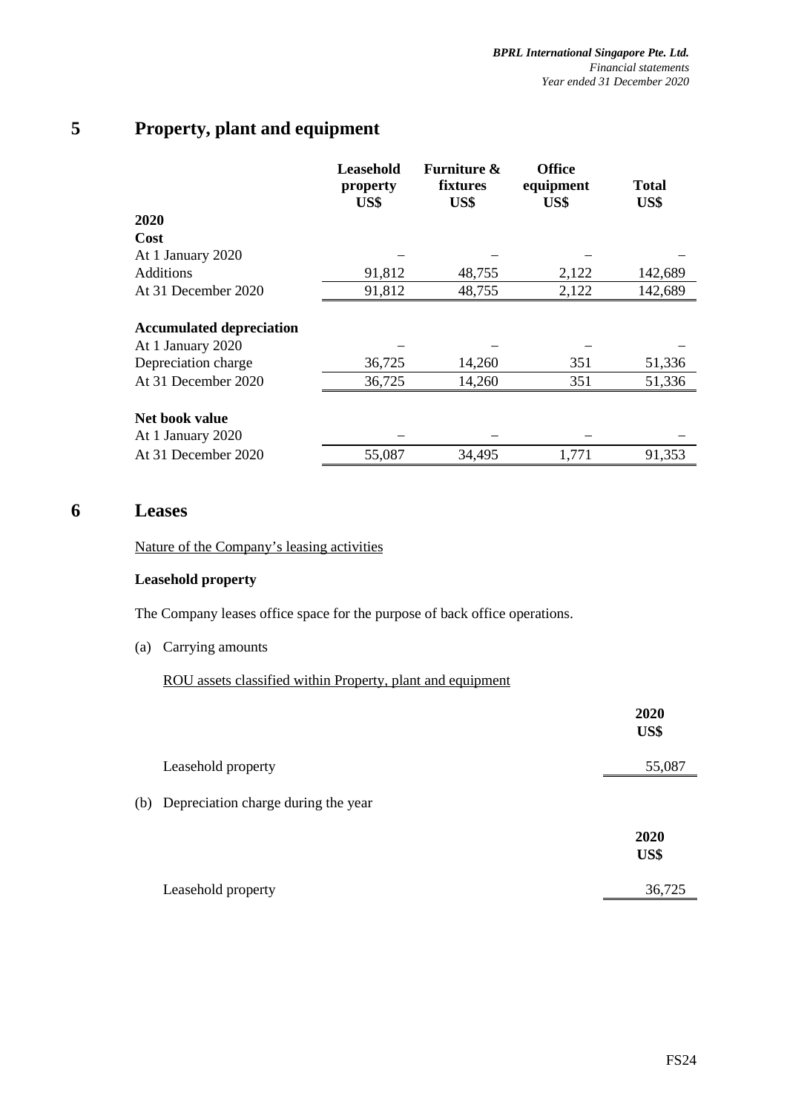# **5 Property, plant and equipment**

|                                                      | Leasehold<br>property<br>US\$ | <b>Furniture &amp;</b><br>fixtures<br>US\$ | <b>Office</b><br>equipment<br>US\$ | <b>Total</b><br>US\$ |
|------------------------------------------------------|-------------------------------|--------------------------------------------|------------------------------------|----------------------|
| 2020                                                 |                               |                                            |                                    |                      |
| Cost                                                 |                               |                                            |                                    |                      |
| At 1 January 2020                                    |                               |                                            |                                    |                      |
| <b>Additions</b>                                     | 91,812                        | 48,755                                     | 2,122                              | 142,689              |
| At 31 December 2020                                  | 91,812                        | 48,755                                     | 2,122                              | 142,689              |
| <b>Accumulated depreciation</b><br>At 1 January 2020 |                               |                                            |                                    |                      |
| Depreciation charge                                  | 36,725                        | 14,260                                     | 351                                | 51,336               |
| At 31 December 2020                                  | 36,725                        | 14,260                                     | 351                                | 51,336               |
| Net book value<br>At 1 January 2020                  |                               |                                            |                                    |                      |
| At 31 December 2020                                  | 55,087                        | 34,495                                     | 1,771                              | 91,353               |

# **6 Leases**

Nature of the Company's leasing activities

#### **Leasehold property**

The Company leases office space for the purpose of back office operations.

(a) Carrying amounts

# ROU assets classified within Property, plant and equipment

|     |                                     | 2020<br>US\$ |
|-----|-------------------------------------|--------------|
|     | Leasehold property                  | 55,087       |
| (b) | Depreciation charge during the year |              |
|     |                                     | 2020<br>US\$ |
|     | Leasehold property                  | 36,725       |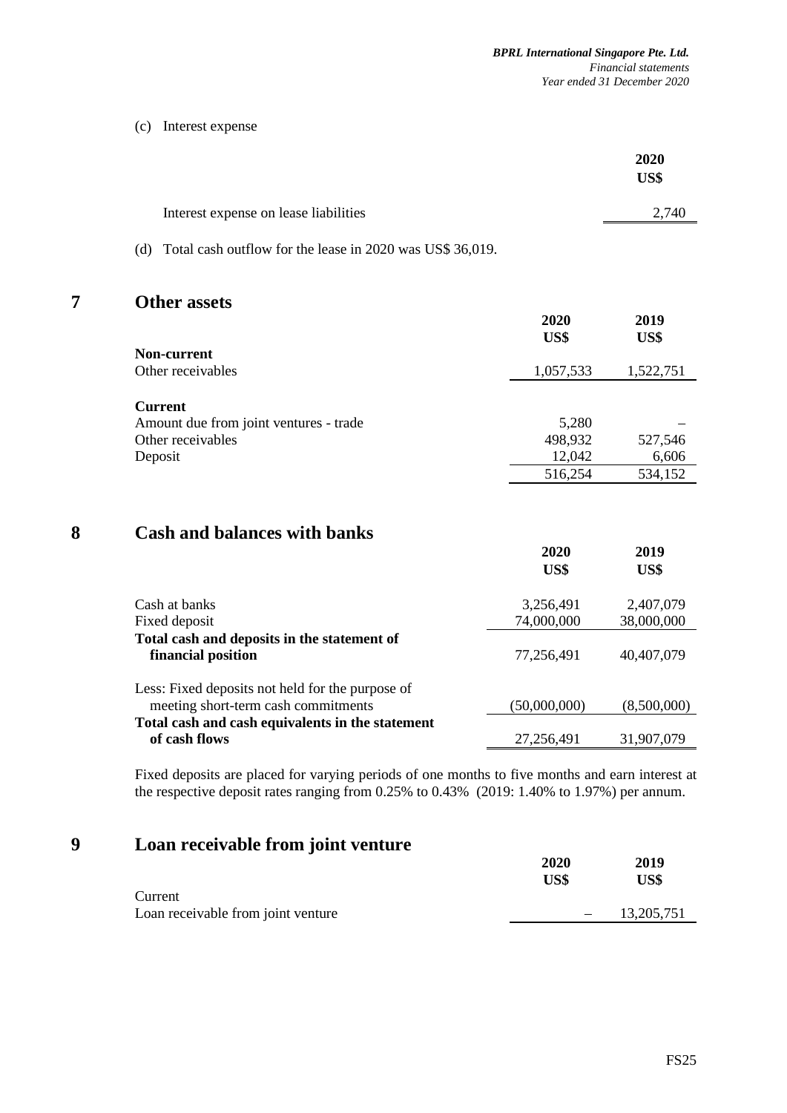(c) Interest expense

|   |                                                                                         |                   | 2020<br>US\$     |
|---|-----------------------------------------------------------------------------------------|-------------------|------------------|
|   | Interest expense on lease liabilities                                                   |                   | 2,740            |
|   | Total cash outflow for the lease in 2020 was US\$ 36,019.<br>(d)                        |                   |                  |
| 7 | <b>Other assets</b>                                                                     |                   |                  |
|   |                                                                                         | 2020              | 2019             |
|   | Non-current                                                                             | US\$              | US\$             |
|   | Other receivables                                                                       | 1,057,533         | 1,522,751        |
|   |                                                                                         |                   |                  |
|   | <b>Current</b>                                                                          |                   |                  |
|   | Amount due from joint ventures - trade                                                  | 5,280             |                  |
|   | Other receivables                                                                       | 498,932<br>12,042 | 527,546<br>6,606 |
|   | Deposit                                                                                 | 516,254           | 534,152          |
|   |                                                                                         |                   |                  |
| 8 | <b>Cash and balances with banks</b>                                                     |                   |                  |
|   |                                                                                         | 2020              | 2019             |
|   |                                                                                         | US\$              | US\$             |
|   | Cash at banks                                                                           | 3,256,491         | 2,407,079        |
|   | Fixed deposit                                                                           | 74,000,000        | 38,000,000       |
|   | Total cash and deposits in the statement of<br>financial position                       | 77,256,491        | 40,407,079       |
|   | Less: Fixed deposits not held for the purpose of<br>meeting short-term cash commitments | (50,000,000)      | (8,500,000)      |
|   | Total cash and cash equivalents in the statement                                        |                   |                  |
|   | of cash flows                                                                           | 27,256,491        | 31,907,079       |
|   |                                                                                         |                   |                  |

Fixed deposits are placed for varying periods of one months to five months and earn interest at the respective deposit rates ranging from 0.25% to 0.43% (2019: 1.40% to 1.97%) per annum.

# **9 Loan receivable from joint venture**

|                                               | 2020<br>US\$ | 2019<br>US\$ |
|-----------------------------------------------|--------------|--------------|
| Current<br>Loan receivable from joint venture | $\equiv$     | 13,205,751   |
|                                               |              |              |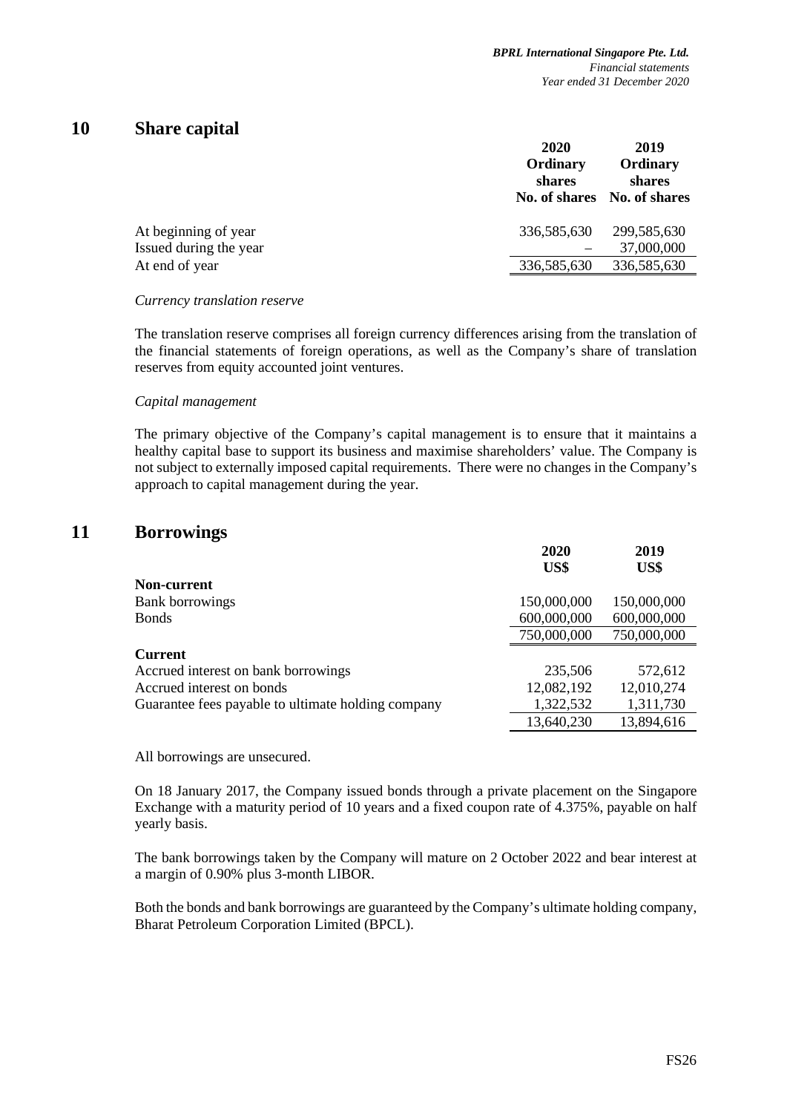# **10 Share capital**

|                        | 2020<br>Ordinary<br>shares | 2019<br>Ordinary<br>shares<br>No. of shares No. of shares |
|------------------------|----------------------------|-----------------------------------------------------------|
| At beginning of year   | 336,585,630                | 299,585,630                                               |
| Issued during the year |                            | 37,000,000                                                |
| At end of year         | 336,585,630                | 336,585,630                                               |
|                        |                            |                                                           |

#### *Currency translation reserve*

The translation reserve comprises all foreign currency differences arising from the translation of the financial statements of foreign operations, as well as the Company's share of translation reserves from equity accounted joint ventures.

#### *Capital management*

The primary objective of the Company's capital management is to ensure that it maintains a healthy capital base to support its business and maximise shareholders' value. The Company is not subject to externally imposed capital requirements. There were no changes in the Company's approach to capital management during the year.

# **11 Borrowings**

|                                                    | 2020        | 2019        |
|----------------------------------------------------|-------------|-------------|
|                                                    | US\$        | US\$        |
| Non-current                                        |             |             |
| Bank borrowings                                    | 150,000,000 | 150,000,000 |
| <b>Bonds</b>                                       | 600,000,000 | 600,000,000 |
|                                                    | 750,000,000 | 750,000,000 |
| <b>Current</b>                                     |             |             |
| Accrued interest on bank borrowings                | 235,506     | 572,612     |
| Accrued interest on bonds                          | 12,082,192  | 12,010,274  |
| Guarantee fees payable to ultimate holding company | 1,322,532   | 1,311,730   |
|                                                    | 13,640,230  | 13,894,616  |

All borrowings are unsecured.

On 18 January 2017, the Company issued bonds through a private placement on the Singapore Exchange with a maturity period of 10 years and a fixed coupon rate of 4.375%, payable on half yearly basis.

The bank borrowings taken by the Company will mature on 2 October 2022 and bear interest at a margin of 0.90% plus 3-month LIBOR.

Both the bonds and bank borrowings are guaranteed by the Company's ultimate holding company, Bharat Petroleum Corporation Limited (BPCL).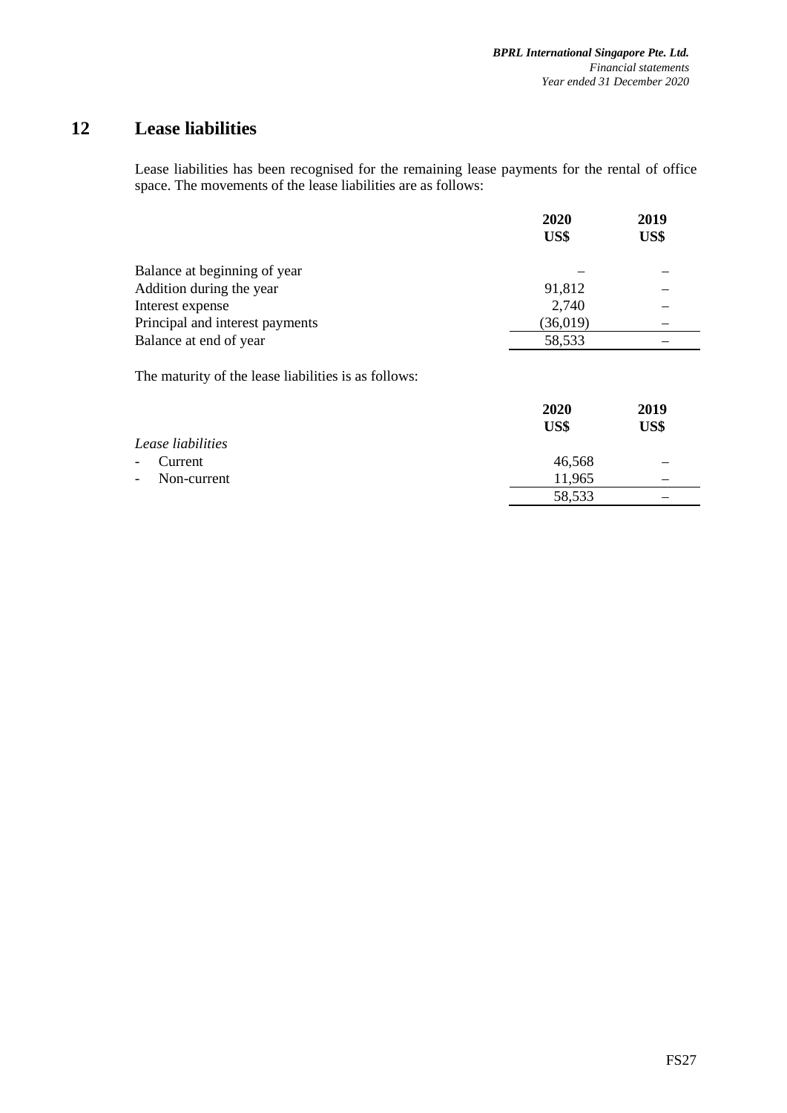# **12 Lease liabilities**

Lease liabilities has been recognised for the remaining lease payments for the rental of office space. The movements of the lease liabilities are as follows:

|                                 | 2020<br>US\$ | 2019<br>US\$ |
|---------------------------------|--------------|--------------|
| Balance at beginning of year    |              |              |
| Addition during the year        | 91,812       |              |
| Interest expense                | 2,740        |              |
| Principal and interest payments | (36, 019)    |              |
| Balance at end of year          | 58,533       |              |

The maturity of the lease liabilities is as follows:

|                                     | 2020<br>US\$ | 2019<br>US\$ |
|-------------------------------------|--------------|--------------|
| Lease liabilities                   |              |              |
| Current<br>$\overline{\phantom{a}}$ | 46,568       | —            |
| Non-current<br>$\blacksquare$       | 11,965       |              |
|                                     | 58,533       |              |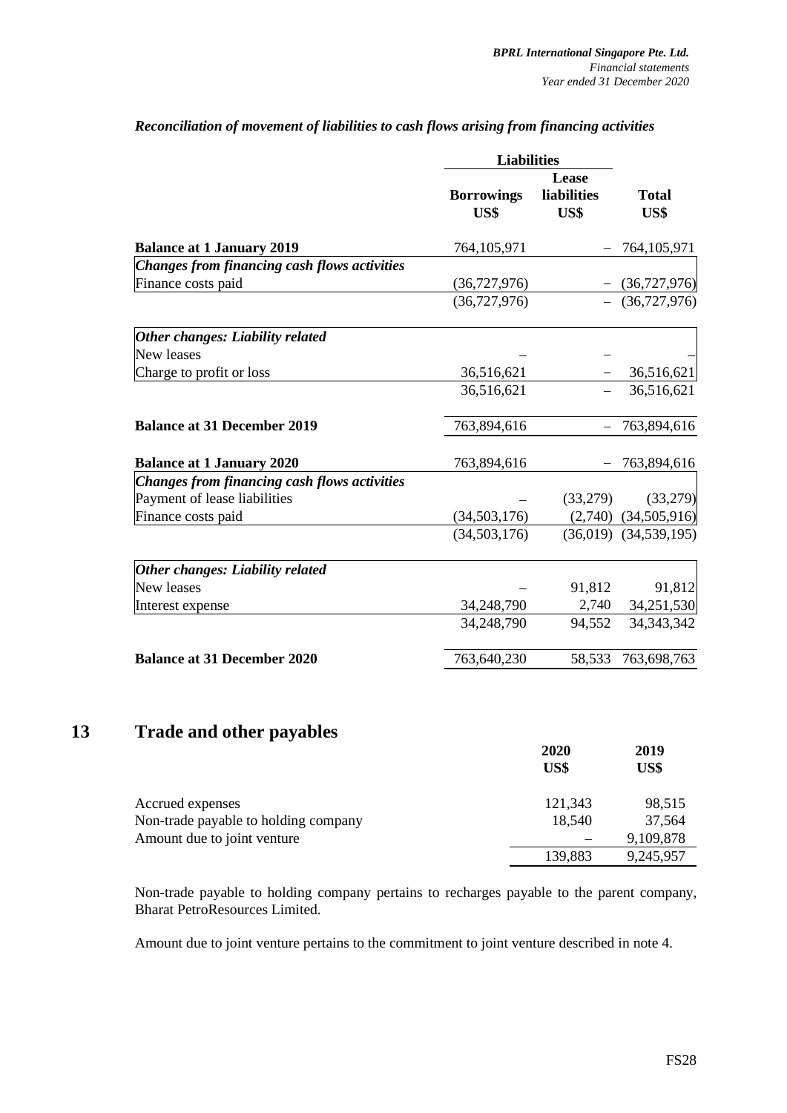|                           | <b>Liabilities</b>           |                           |
|---------------------------|------------------------------|---------------------------|
| <b>Borrowings</b><br>US\$ | Lease<br>liabilities<br>US\$ | <b>Total</b><br>US\$      |
| 764,105,971               |                              | 764,105,971               |
|                           |                              |                           |
| (36, 727, 976)            |                              | (36,727,976)              |
| (36,727,976)              |                              | (36,727,976)              |
|                           |                              |                           |
|                           |                              |                           |
| 36,516,621                |                              | 36,516,621                |
| 36,516,621                |                              | 36,516,621                |
| 763,894,616               |                              | 763,894,616               |
| 763,894,616               |                              | 763,894,616               |
|                           |                              |                           |
|                           | (33,279)                     | (33,279)                  |
| (34,503,176)              |                              | $(2,740)$ $(34,505,916)$  |
|                           |                              | $(36,019)$ $(34,539,195)$ |
|                           |                              |                           |
|                           | 91,812                       | 91,812                    |
| 34,248,790                | 2,740                        | 34,251,530                |
| 34,248,790                | 94,552                       | 34, 343, 342              |
| 763,640,230               | 58,533                       | 763,698,763               |
|                           | (34,503,176)                 |                           |

## *Reconciliation of movement of liabilities to cash flows arising from financing activities*

|                                      | US\$    | US\$      |
|--------------------------------------|---------|-----------|
| Accrued expenses                     | 121.343 | 98,515    |
| Non-trade payable to holding company | 18,540  | 37.564    |
| Amount due to joint venture          |         | 9,109,878 |
|                                      | 139,883 | 9,245,957 |

Non-trade payable to holding company pertains to recharges payable to the parent company, Bharat PetroResources Limited.

Amount due to joint venture pertains to the commitment to joint venture described in note 4.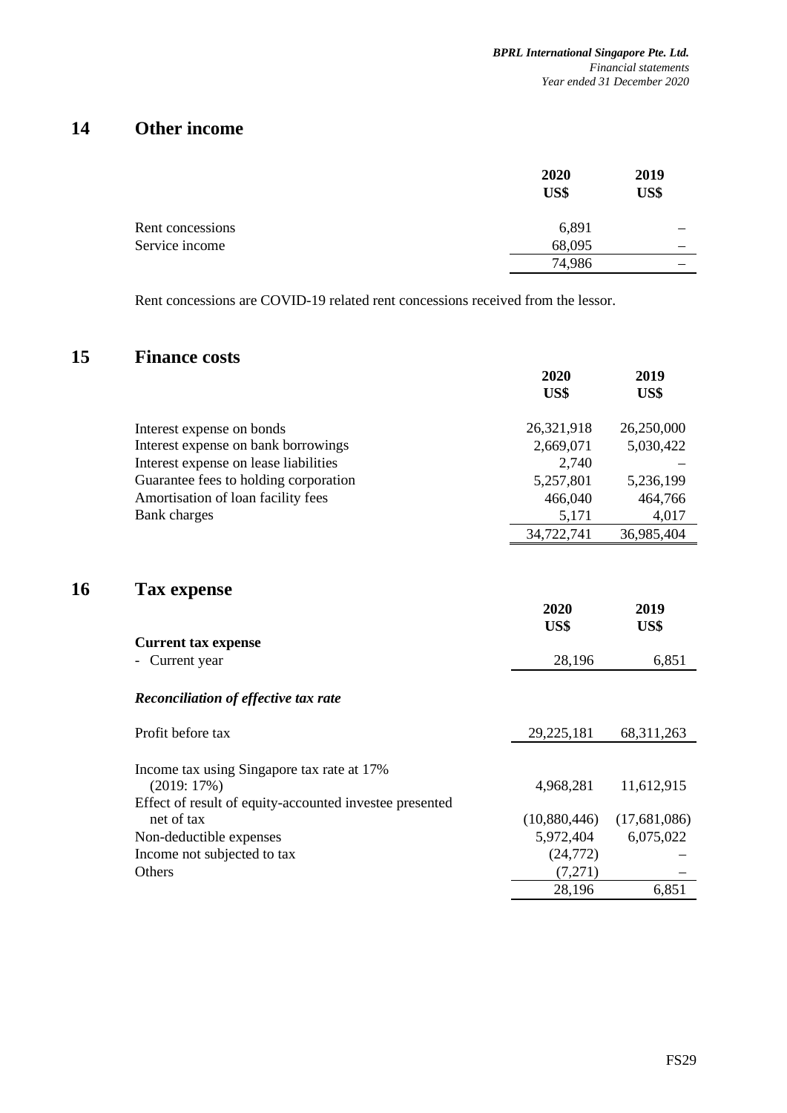# **14 Other income**

|                  | 2020<br>US\$ | 2019<br>US\$ |
|------------------|--------------|--------------|
| Rent concessions | 6,891        |              |
| Service income   | 68,095       |              |
|                  | 74,986       |              |
|                  |              |              |

Rent concessions are COVID-19 related rent concessions received from the lessor.

# **15 Finance costs**

|                                       | <b>2020</b><br>US\$ | 2019<br>US\$ |
|---------------------------------------|---------------------|--------------|
| Interest expense on bonds             | 26,321,918          | 26,250,000   |
| Interest expense on bank borrowings   | 2,669,071           | 5,030,422    |
| Interest expense on lease liabilities | 2,740               |              |
| Guarantee fees to holding corporation | 5,257,801           | 5,236,199    |
| Amortisation of loan facility fees    | 466,040             | 464,766      |
| Bank charges                          | 5,171               | 4,017        |
|                                       | 34,722,741          | 36,985,404   |

# **16 Tax expense**

|                                                         | 2020<br>US\$ | 2019<br>US\$ |
|---------------------------------------------------------|--------------|--------------|
| <b>Current tax expense</b>                              |              |              |
| - Current year                                          | 28,196       | 6,851        |
| <b>Reconciliation of effective tax rate</b>             |              |              |
| Profit before tax                                       | 29, 225, 181 | 68, 311, 263 |
| Income tax using Singapore tax rate at 17%              |              |              |
| (2019:17%)                                              | 4,968,281    | 11,612,915   |
| Effect of result of equity-accounted investee presented |              |              |
| net of tax                                              | (10,880,446) | (17,681,086) |
| Non-deductible expenses                                 | 5,972,404    | 6,075,022    |
| Income not subjected to tax                             | (24, 772)    |              |
| <b>Others</b>                                           | (7,271)      |              |
|                                                         | 28,196       | 6,851        |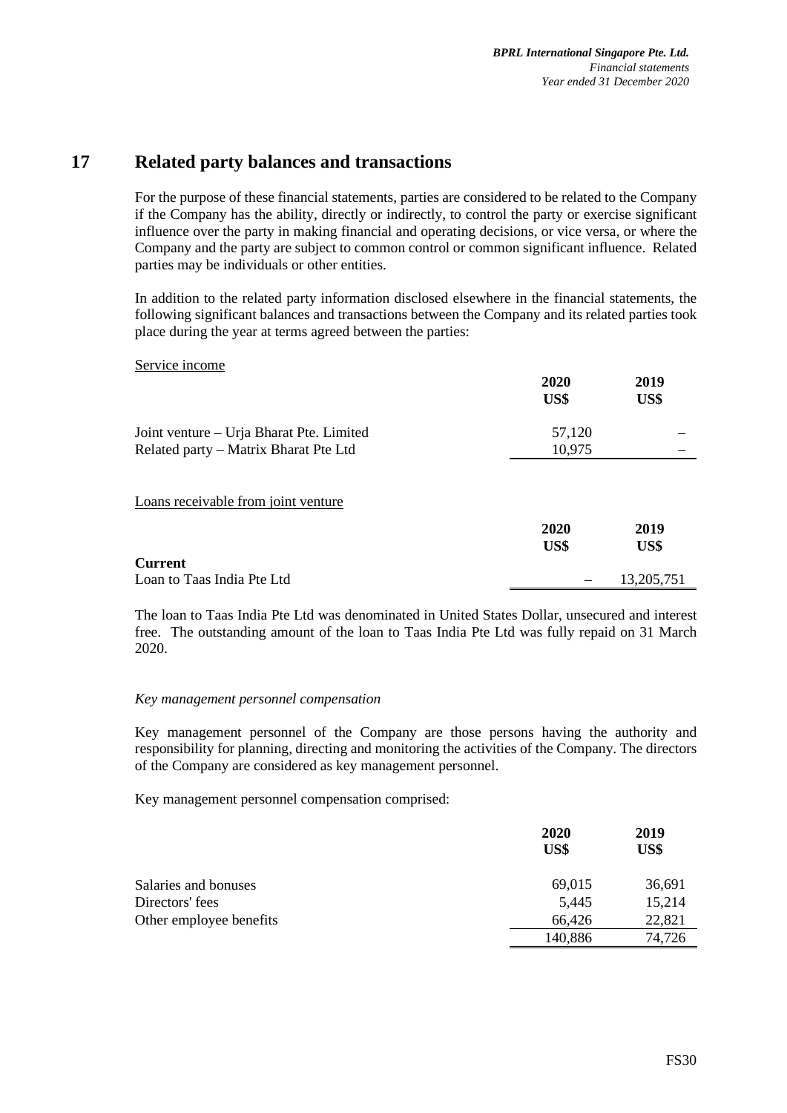# **17 Related party balances and transactions**

For the purpose of these financial statements, parties are considered to be related to the Company if the Company has the ability, directly or indirectly, to control the party or exercise significant influence over the party in making financial and operating decisions, or vice versa, or where the Company and the party are subject to common control or common significant influence. Related parties may be individuals or other entities.

In addition to the related party information disclosed elsewhere in the financial statements, the following significant balances and transactions between the Company and its related parties took place during the year at terms agreed between the parties:

Service income

|                                                                                   | 2020<br>US\$     | 2019<br>US\$ |
|-----------------------------------------------------------------------------------|------------------|--------------|
| Joint venture – Urja Bharat Pte. Limited<br>Related party – Matrix Bharat Pte Ltd | 57,120<br>10,975 |              |
| Loans receivable from joint venture                                               |                  |              |
|                                                                                   | 2020<br>US\$     | 2019<br>US\$ |
| <b>Current</b>                                                                    |                  |              |
| Loan to Taas India Pte Ltd                                                        |                  | 13,205,751   |

The loan to Taas India Pte Ltd was denominated in United States Dollar, unsecured and interest free. The outstanding amount of the loan to Taas India Pte Ltd was fully repaid on 31 March 2020.

#### *Key management personnel compensation*

Key management personnel of the Company are those persons having the authority and responsibility for planning, directing and monitoring the activities of the Company. The directors of the Company are considered as key management personnel.

Key management personnel compensation comprised:

|                         | <b>2020</b><br>US\$ | 2019<br>US\$ |
|-------------------------|---------------------|--------------|
| Salaries and bonuses    | 69,015              | 36,691       |
| Directors' fees         | 5,445               | 15,214       |
| Other employee benefits | 66,426              | 22,821       |
|                         | 140,886             | 74,726       |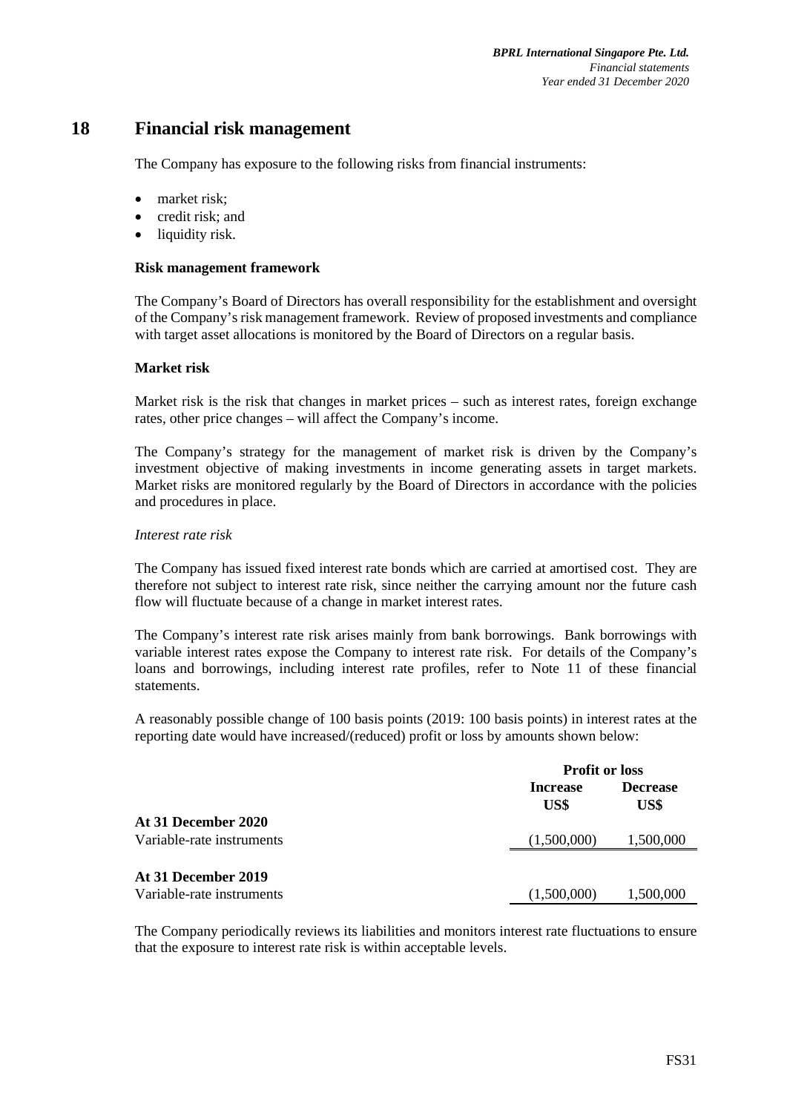# **18 Financial risk management**

The Company has exposure to the following risks from financial instruments:

- market risk:
- credit risk; and
- liquidity risk.

#### **Risk management framework**

The Company's Board of Directors has overall responsibility for the establishment and oversight of the Company's risk management framework. Review of proposed investments and compliance with target asset allocations is monitored by the Board of Directors on a regular basis.

#### **Market risk**

Market risk is the risk that changes in market prices – such as interest rates, foreign exchange rates, other price changes – will affect the Company's income.

The Company's strategy for the management of market risk is driven by the Company's investment objective of making investments in income generating assets in target markets. Market risks are monitored regularly by the Board of Directors in accordance with the policies and procedures in place.

#### *Interest rate risk*

The Company has issued fixed interest rate bonds which are carried at amortised cost. They are therefore not subject to interest rate risk, since neither the carrying amount nor the future cash flow will fluctuate because of a change in market interest rates.

The Company's interest rate risk arises mainly from bank borrowings. Bank borrowings with variable interest rates expose the Company to interest rate risk. For details of the Company's loans and borrowings, including interest rate profiles, refer to Note 11 of these financial statements.

A reasonably possible change of 100 basis points (2019: 100 basis points) in interest rates at the reporting date would have increased/(reduced) profit or loss by amounts shown below:

|                           | <b>Profit or loss</b>   |                         |
|---------------------------|-------------------------|-------------------------|
|                           | <b>Increase</b><br>US\$ | <b>Decrease</b><br>US\$ |
| At 31 December 2020       |                         |                         |
| Variable-rate instruments | (1,500,000)             | 1,500,000               |
|                           |                         |                         |
| At 31 December 2019       |                         |                         |
| Variable-rate instruments | (1.500.000)             | 1.500.000               |

The Company periodically reviews its liabilities and monitors interest rate fluctuations to ensure that the exposure to interest rate risk is within acceptable levels.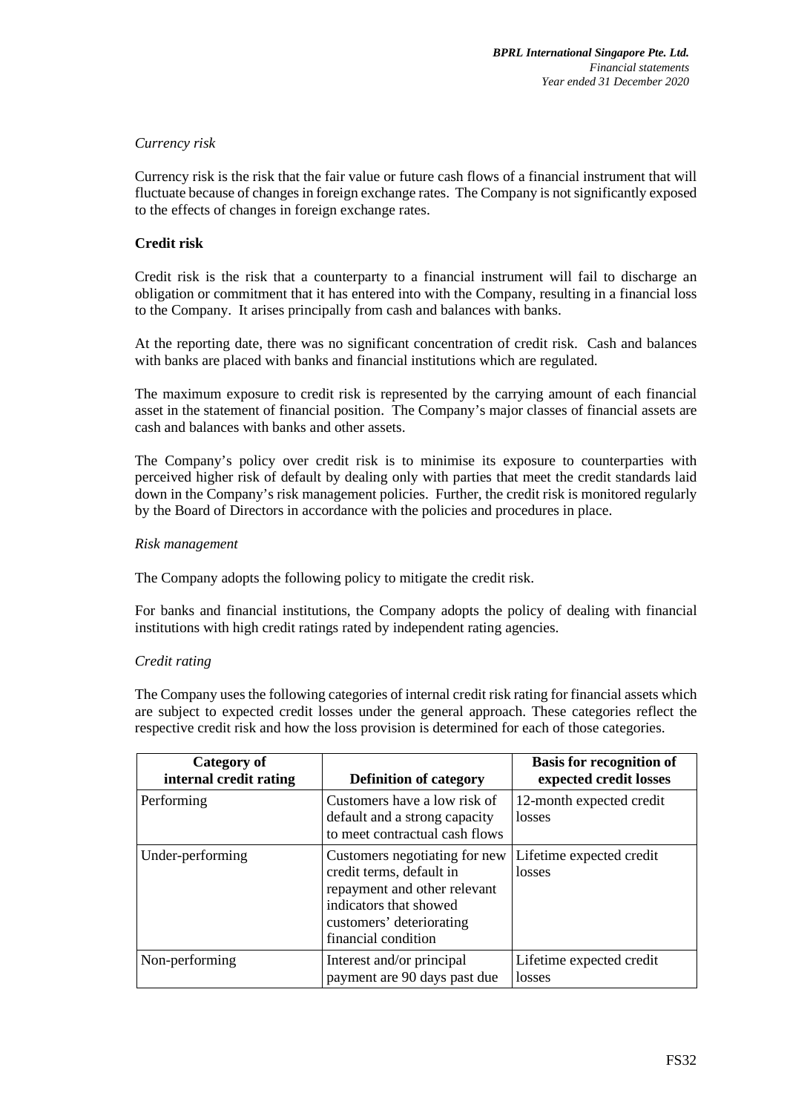## *Currency risk*

Currency risk is the risk that the fair value or future cash flows of a financial instrument that will fluctuate because of changes in foreign exchange rates. The Company is not significantly exposed to the effects of changes in foreign exchange rates.

#### **Credit risk**

Credit risk is the risk that a counterparty to a financial instrument will fail to discharge an obligation or commitment that it has entered into with the Company, resulting in a financial loss to the Company. It arises principally from cash and balances with banks.

At the reporting date, there was no significant concentration of credit risk. Cash and balances with banks are placed with banks and financial institutions which are regulated.

The maximum exposure to credit risk is represented by the carrying amount of each financial asset in the statement of financial position. The Company's major classes of financial assets are cash and balances with banks and other assets.

The Company's policy over credit risk is to minimise its exposure to counterparties with perceived higher risk of default by dealing only with parties that meet the credit standards laid down in the Company's risk management policies. Further, the credit risk is monitored regularly by the Board of Directors in accordance with the policies and procedures in place.

#### *Risk management*

The Company adopts the following policy to mitigate the credit risk.

For banks and financial institutions, the Company adopts the policy of dealing with financial institutions with high credit ratings rated by independent rating agencies.

#### *Credit rating*

The Company uses the following categories of internal credit risk rating for financial assets which are subject to expected credit losses under the general approach. These categories reflect the respective credit risk and how the loss provision is determined for each of those categories.

| Category of<br>internal credit rating | <b>Definition of category</b>                                                                                                                                          | <b>Basis for recognition of</b><br>expected credit losses |
|---------------------------------------|------------------------------------------------------------------------------------------------------------------------------------------------------------------------|-----------------------------------------------------------|
| Performing                            | Customers have a low risk of<br>default and a strong capacity<br>to meet contractual cash flows                                                                        | 12-month expected credit<br>losses                        |
| Under-performing                      | Customers negotiating for new<br>credit terms, default in<br>repayment and other relevant<br>indicators that showed<br>customers' deteriorating<br>financial condition | Lifetime expected credit<br>losses                        |
| Non-performing                        | Interest and/or principal<br>payment are 90 days past due                                                                                                              | Lifetime expected credit<br>losses                        |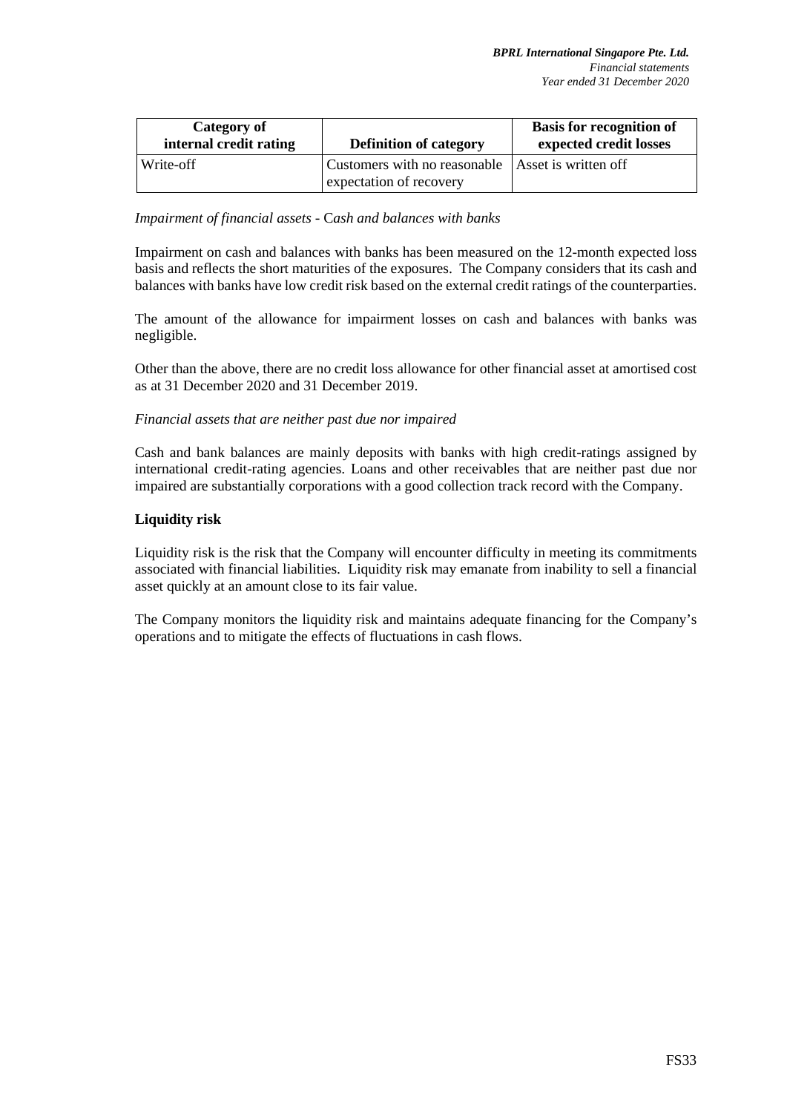| Category of<br>internal credit rating | <b>Definition of category</b>                                                | <b>Basis for recognition of</b><br>expected credit losses |
|---------------------------------------|------------------------------------------------------------------------------|-----------------------------------------------------------|
| Write-off                             | Customers with no reasonable Asset is written off<br>expectation of recovery |                                                           |

*Impairment of financial assets -* C*ash and balances with banks*

Impairment on cash and balances with banks has been measured on the 12-month expected loss basis and reflects the short maturities of the exposures. The Company considers that its cash and balances with banks have low credit risk based on the external credit ratings of the counterparties.

The amount of the allowance for impairment losses on cash and balances with banks was negligible.

Other than the above, there are no credit loss allowance for other financial asset at amortised cost as at 31 December 2020 and 31 December 2019.

#### *Financial assets that are neither past due nor impaired*

Cash and bank balances are mainly deposits with banks with high credit-ratings assigned by international credit-rating agencies. Loans and other receivables that are neither past due nor impaired are substantially corporations with a good collection track record with the Company.

#### **Liquidity risk**

Liquidity risk is the risk that the Company will encounter difficulty in meeting its commitments associated with financial liabilities. Liquidity risk may emanate from inability to sell a financial asset quickly at an amount close to its fair value.

The Company monitors the liquidity risk and maintains adequate financing for the Company's operations and to mitigate the effects of fluctuations in cash flows.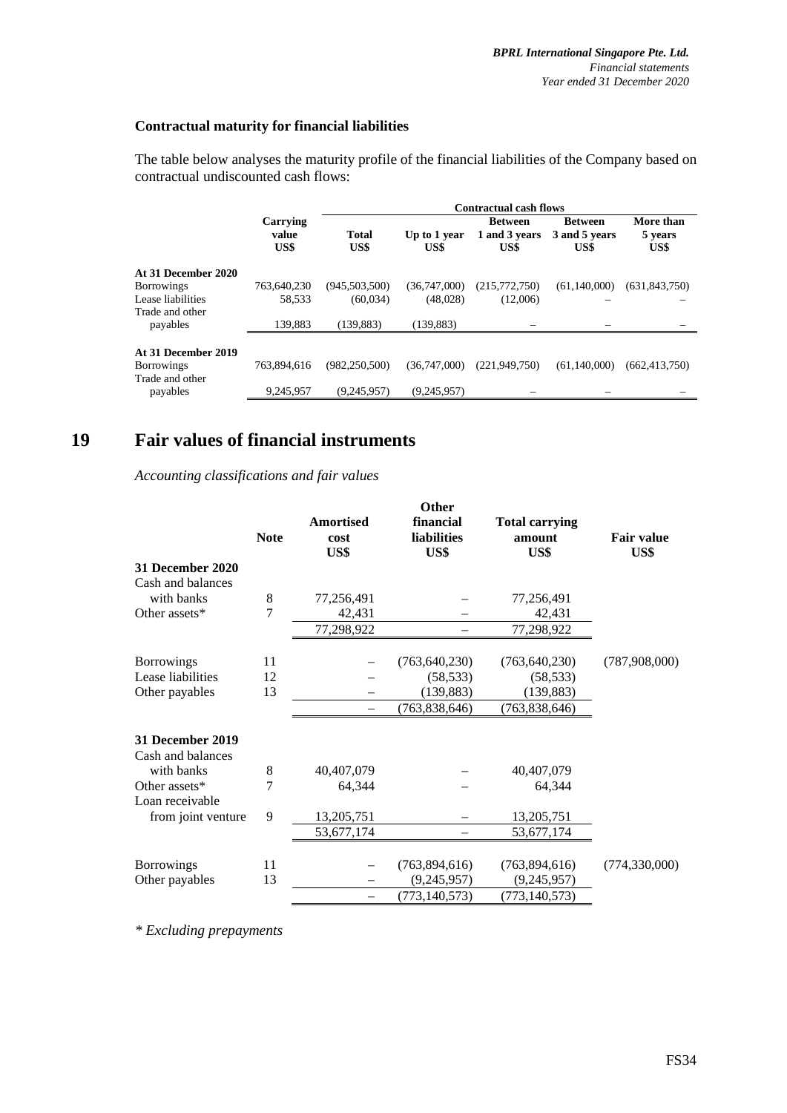#### **Contractual maturity for financial liabilities**

The table below analyses the maturity profile of the financial liabilities of the Company based on contractual undiscounted cash flows:

|                                          |                           |                      |                      | <b>Contractual cash flows</b>           |                                         |                              |
|------------------------------------------|---------------------------|----------------------|----------------------|-----------------------------------------|-----------------------------------------|------------------------------|
|                                          | Carrying<br>value<br>US\$ | <b>Total</b><br>US\$ | Up to 1 year<br>US\$ | <b>Between</b><br>1 and 3 years<br>US\$ | <b>Between</b><br>3 and 5 years<br>US\$ | More than<br>5 years<br>US\$ |
| At 31 December 2020                      |                           |                      |                      |                                         |                                         |                              |
| <b>Borrowings</b>                        | 763,640,230               | (945, 503, 500)      | (36,747,000)         | (215,772,750)                           | (61, 140, 000)                          | (631, 843, 750)              |
| Lease liabilities                        | 58.533                    | (60,034)             | (48,028)             | (12,006)                                |                                         |                              |
| Trade and other                          |                           |                      |                      |                                         |                                         |                              |
| payables                                 | 139.883                   | (139, 883)           | (139, 883)           |                                         |                                         |                              |
| At 31 December 2019<br><b>Borrowings</b> | 763.894.616               | (982, 250, 500)      | (36.747.000)         | (221, 949, 750)                         | (61, 140, 000)                          | (662.413.750)                |
| Trade and other<br>payables              | 9,245,957                 | (9,245,957)          | (9,245,957)          |                                         |                                         |                              |

# **19 Fair values of financial instruments**

*Accounting classifications and fair values*

|                         |             |                                  | <b>Other</b>                            |                                         |                           |
|-------------------------|-------------|----------------------------------|-----------------------------------------|-----------------------------------------|---------------------------|
|                         | <b>Note</b> | <b>Amortised</b><br>cost<br>US\$ | financial<br><b>liabilities</b><br>US\$ | <b>Total carrying</b><br>amount<br>US\$ | <b>Fair value</b><br>US\$ |
| 31 December 2020        |             |                                  |                                         |                                         |                           |
| Cash and balances       |             |                                  |                                         |                                         |                           |
| with banks              | 8           | 77,256,491                       |                                         | 77,256,491                              |                           |
| Other assets*           | 7           | 42,431                           |                                         | 42,431                                  |                           |
|                         |             | 77,298,922                       |                                         | 77,298,922                              |                           |
|                         |             |                                  |                                         |                                         |                           |
| <b>Borrowings</b>       | 11          |                                  | (763, 640, 230)                         | (763, 640, 230)                         | (787,908,000)             |
| Lease liabilities       | 12          |                                  | (58, 533)                               | (58, 533)                               |                           |
| Other payables          | 13          |                                  | (139, 883)                              | (139, 883)                              |                           |
|                         |             | $\overline{\phantom{0}}$         | (763, 838, 646)                         | (763, 838, 646)                         |                           |
| <b>31 December 2019</b> |             |                                  |                                         |                                         |                           |
| Cash and balances       |             |                                  |                                         |                                         |                           |
| with banks              | $\,8$       | 40,407,079                       |                                         | 40,407,079                              |                           |
| Other assets*           | 7           | 64,344                           |                                         | 64,344                                  |                           |
| Loan receivable         |             |                                  |                                         |                                         |                           |
| from joint venture      | 9           | 13,205,751                       |                                         | 13,205,751                              |                           |
|                         |             | 53,677,174                       |                                         | 53,677,174                              |                           |
| <b>Borrowings</b>       | 11          |                                  | (763,894,616)                           | (763,894,616)                           | (774, 330, 000)           |
| Other payables          | 13          |                                  | (9,245,957)                             | (9, 245, 957)                           |                           |
|                         |             | —                                | (773, 140, 573)                         | (773, 140, 573)                         |                           |

*\* Excluding prepayments*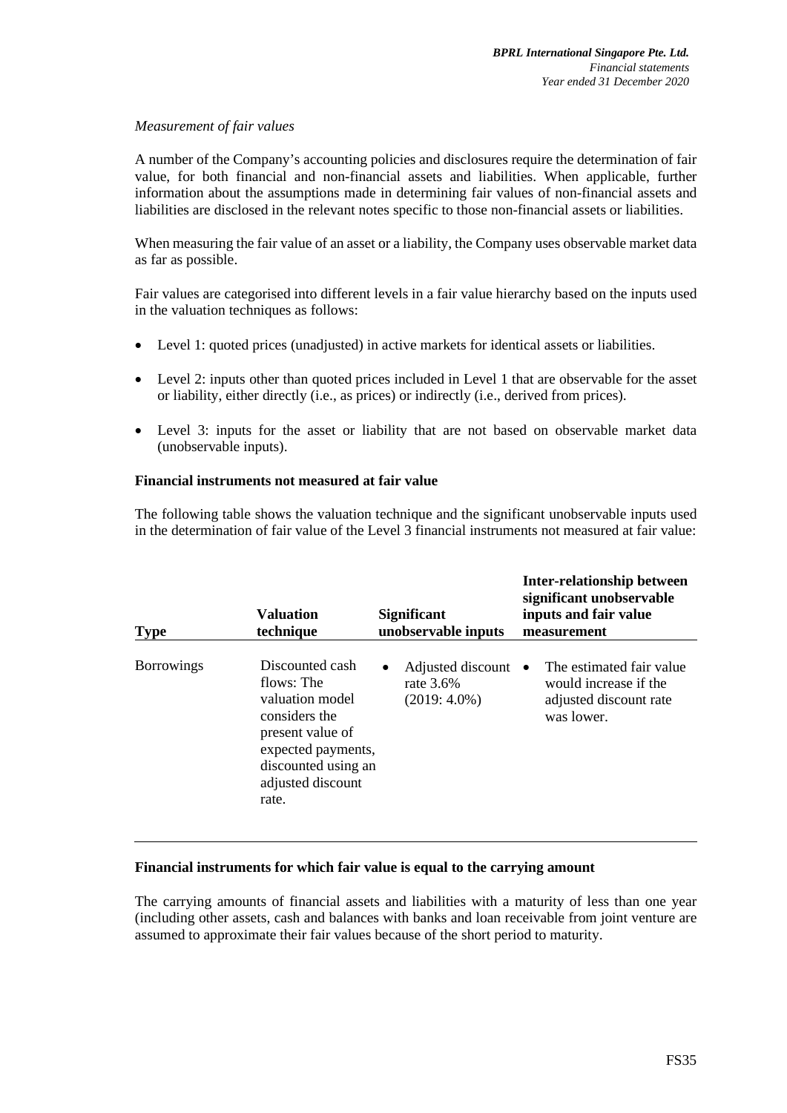#### *Measurement of fair values*

A number of the Company's accounting policies and disclosures require the determination of fair value, for both financial and non-financial assets and liabilities. When applicable, further information about the assumptions made in determining fair values of non-financial assets and liabilities are disclosed in the relevant notes specific to those non-financial assets or liabilities.

When measuring the fair value of an asset or a liability, the Company uses observable market data as far as possible.

Fair values are categorised into different levels in a fair value hierarchy based on the inputs used in the valuation techniques as follows:

- Level 1: quoted prices (unadjusted) in active markets for identical assets or liabilities.
- Level 2: inputs other than quoted prices included in Level 1 that are observable for the asset or liability, either directly (i.e., as prices) or indirectly (i.e., derived from prices).
- Level 3: inputs for the asset or liability that are not based on observable market data (unobservable inputs).

#### **Financial instruments not measured at fair value**

The following table shows the valuation technique and the significant unobservable inputs used in the determination of fair value of the Level 3 financial instruments not measured at fair value:

| <b>Type</b>       | <b>Valuation</b><br>technique                                                                                                                                    | <b>Significant</b><br>unobservable inputs                     | Inter-relationship between<br>significant unobservable<br>inputs and fair value<br>measurement         |
|-------------------|------------------------------------------------------------------------------------------------------------------------------------------------------------------|---------------------------------------------------------------|--------------------------------------------------------------------------------------------------------|
| <b>Borrowings</b> | Discounted cash<br>flows: The<br>valuation model<br>considers the<br>present value of<br>expected payments,<br>discounted using an<br>adjusted discount<br>rate. | Adjusted discount<br>$\bullet$<br>rate 3.6%<br>$(2019:4.0\%)$ | The estimated fair value<br>$\bullet$<br>would increase if the<br>adjusted discount rate<br>was lower. |

#### **Financial instruments for which fair value is equal to the carrying amount**

The carrying amounts of financial assets and liabilities with a maturity of less than one year (including other assets, cash and balances with banks and loan receivable from joint venture are assumed to approximate their fair values because of the short period to maturity.